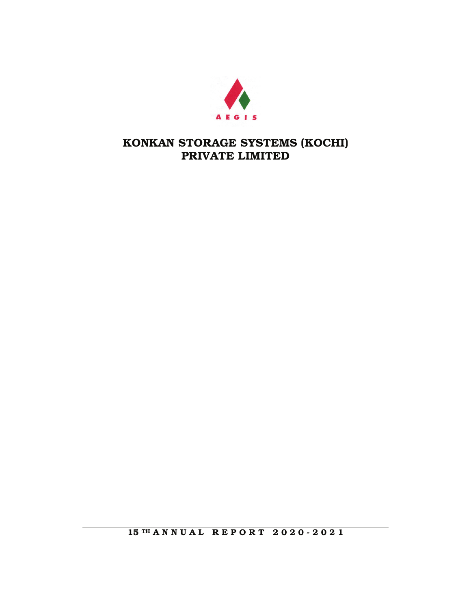

15 TH A N N U A L R E P O R T 2 0 2 0 - 2 0 2 1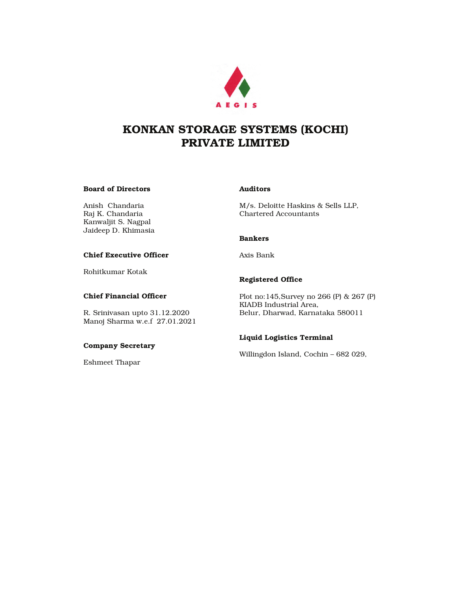

#### Board of Directors

Anish Chandaria Raj K. Chandaria Kanwaljit S. Nagpal Jaideep D. Khimasia

#### Auditors

M/s. Deloitte Haskins & Sells LLP, Chartered Accountants

## Bankers

Axis Bank

## Registered Office

Plot no:145,Survey no 266 (P) & 267 (P) KIADB Industrial Area, Belur, Dharwad, Karnataka 580011

## Liquid Logistics Terminal

Willingdon Island, Cochin – 682 029,

## Chief Executive Officer

Rohitkumar Kotak

## Chief Financial Officer

R. Srinivasan upto 31.12.2020 Manoj Sharma w.e.f 27.01.2021

## Company Secretary

Eshmeet Thapar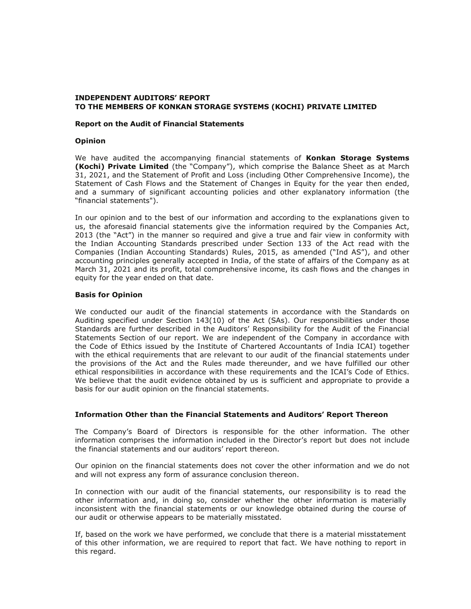## **INDEPENDENT AUDITORS' REPORT** TO THE MEMBERS OF KONKAN STORAGE SYSTEMS (KOCHI) PRIVATE LIMITED

#### **Report on the Audit of Financial Statements**

#### **Opinion**

We have audited the accompanying financial statements of Konkan Storage Systems (Kochi) Private Limited (the "Company"), which comprise the Balance Sheet as at March 31, 2021, and the Statement of Profit and Loss (including Other Comprehensive Income), the Statement of Cash Flows and the Statement of Changes in Equity for the year then ended, and a summary of significant accounting policies and other explanatory information (the "financial statements").

In our opinion and to the best of our information and according to the explanations given to us, the aforesaid financial statements give the information required by the Companies Act, 2013 (the "Act") in the manner so required and give a true and fair view in conformity with the Indian Accounting Standards prescribed under Section 133 of the Act read with the Companies (Indian Accounting Standards) Rules, 2015, as amended ("Ind AS"), and other accounting principles generally accepted in India, of the state of affairs of the Company as at March 31, 2021 and its profit, total comprehensive income, its cash flows and the changes in equity for the year ended on that date.

## **Basis for Opinion**

We conducted our audit of the financial statements in accordance with the Standards on Auditing specified under Section 143(10) of the Act (SAs). Our responsibilities under those Standards are further described in the Auditors' Responsibility for the Audit of the Financial Statements Section of our report. We are independent of the Company in accordance with the Code of Ethics issued by the Institute of Chartered Accountants of India ICAI) together with the ethical requirements that are relevant to our audit of the financial statements under the provisions of the Act and the Rules made thereunder, and we have fulfilled our other ethical responsibilities in accordance with these requirements and the ICAI's Code of Ethics. We believe that the audit evidence obtained by us is sufficient and appropriate to provide a basis for our audit opinion on the financial statements.

## **Information Other than the Financial Statements and Auditors' Report Thereon**

The Company's Board of Directors is responsible for the other information. The other information comprises the information included in the Director's report but does not include the financial statements and our auditors' report thereon.

Our opinion on the financial statements does not cover the other information and we do not and will not express any form of assurance conclusion thereon.

In connection with our audit of the financial statements, our responsibility is to read the other information and, in doing so, consider whether the other information is materially inconsistent with the financial statements or our knowledge obtained during the course of our audit or otherwise appears to be materially misstated.

If, based on the work we have performed, we conclude that there is a material misstatement of this other information, we are required to report that fact. We have nothing to report in this regard.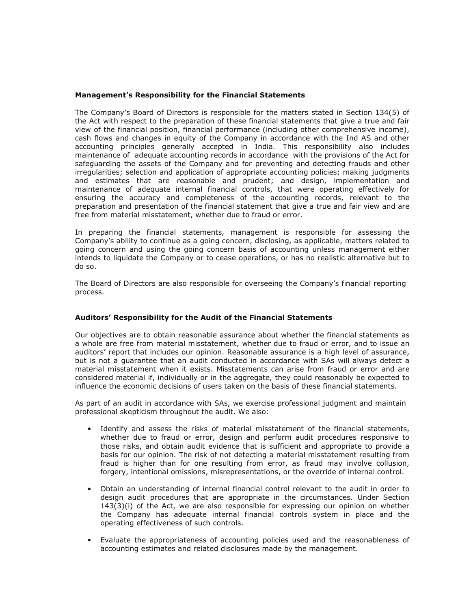## Management's Responsibility for the Financial Statements

The Company's Board of Directors is responsible for the matters stated in Section 134(5) of the Act with respect to the preparation of these financial statements that give a true and fair view of the financial position, financial performance (including other comprehensive income), cash flows and changes in equity of the Company in accordance with the Ind AS and other accounting principles generally accepted in India. This responsibility also includes maintenance of adequate accounting records in accordance with the provisions of the Act for safeguarding the assets of the Company and for preventing and detecting frauds and other irregularities; selection and application of appropriate accounting policies; making judgments and estimates that are reasonable and prudent; and design, implementation and maintenance of adequate internal financial controls, that were operating effectively for ensuring the accuracy and completeness of the accounting records, relevant to the preparation and presentation of the financial statement that give a true and fair view and are free from material misstatement, whether due to fraud or error.

In preparing the financial statements, management is responsible for assessing the Company's ability to continue as a going concern, disclosing, as applicable, matters related to going concern and using the going concern basis of accounting unless management either intends to liquidate the Company or to cease operations, or has no realistic alternative but to do so.

The Board of Directors are also responsible for overseeing the Company's financial reporting process.

## Auditors' Responsibility for the Audit of the Financial Statements

Our objectives are to obtain reasonable assurance about whether the financial statements as a whole are free from material misstatement, whether due to fraud or error, and to issue an auditors' report that includes our opinion. Reasonable assurance is a high level of assurance, but is not a quarantee that an audit conducted in accordance with SAs will always detect a material misstatement when it exists. Misstatements can arise from fraud or error and are considered material if, individually or in the aggregate, they could reasonably be expected to influence the economic decisions of users taken on the basis of these financial statements.

As part of an audit in accordance with SAs, we exercise professional judgment and maintain professional skepticism throughout the audit. We also:

- Identify and assess the risks of material misstatement of the financial statements, whether due to fraud or error, design and perform audit procedures responsive to those risks, and obtain audit evidence that is sufficient and appropriate to provide a basis for our opinion. The risk of not detecting a material misstatement resulting from fraud is higher than for one resulting from error, as fraud may involve collusion, forgery, intentional omissions, misrepresentations, or the override of internal control.
- Obtain an understanding of internal financial control relevant to the audit in order to design audit procedures that are appropriate in the circumstances. Under Section  $143(3)(i)$  of the Act, we are also responsible for expressing our opinion on whether the Company has adequate internal financial controls system in place and the operating effectiveness of such controls.
- Evaluate the appropriateness of accounting policies used and the reasonableness of accounting estimates and related disclosures made by the management.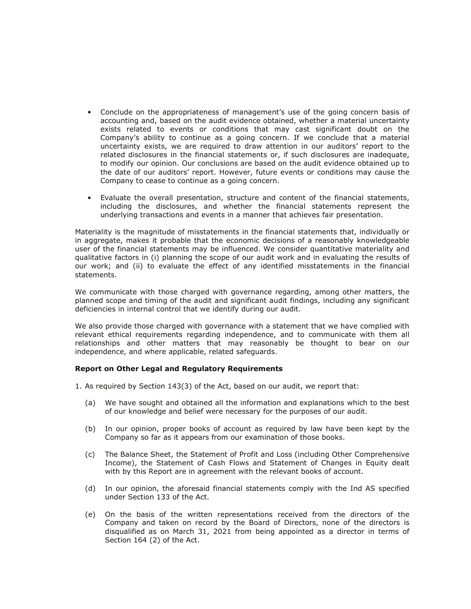- Conclude on the appropriateness of management's use of the going concern basis of accounting and, based on the audit evidence obtained, whether a material uncertainty exists related to events or conditions that may cast significant doubt on the Company's ability to continue as a going concern. If we conclude that a material uncertainty exists, we are required to draw attention in our auditors' report to the related disclosures in the financial statements or, if such disclosures are inadequate, to modify our opinion. Our conclusions are based on the audit evidence obtained up to the date of our auditors' report. However, future events or conditions may cause the Company to cease to continue as a going concern.
- Evaluate the overall presentation, structure and content of the financial statements, including the disclosures, and whether the financial statements represent the underlying transactions and events in a manner that achieves fair presentation.

Materiality is the magnitude of misstatements in the financial statements that, individually or in aggregate, makes it probable that the economic decisions of a reasonably knowledgeable user of the financial statements may be influenced. We consider quantitative materiality and qualitative factors in (i) planning the scope of our audit work and in evaluating the results of our work; and (ii) to evaluate the effect of any identified misstatements in the financial statements.

We communicate with those charged with governance regarding, among other matters, the planned scope and timing of the audit and significant audit findings, including any significant deficiencies in internal control that we identify during our audit.

We also provide those charged with governance with a statement that we have complied with relevant ethical requirements regarding independence, and to communicate with them all relationships and other matters that may reasonably be thought to bear on our independence, and where applicable, related safeguards.

## **Report on Other Legal and Regulatory Requirements**

- 1. As required by Section 143(3) of the Act, based on our audit, we report that:
	- (a) We have sought and obtained all the information and explanations which to the best of our knowledge and belief were necessary for the purposes of our audit.
	- (b) In our opinion, proper books of account as required by law have been kept by the Company so far as it appears from our examination of those books.
	- $(c)$ The Balance Sheet, the Statement of Profit and Loss (including Other Comprehensive Income), the Statement of Cash Flows and Statement of Changes in Equity dealt with by this Report are in agreement with the relevant books of account.
	- (d) In our opinion, the aforesaid financial statements comply with the Ind AS specified under Section 133 of the Act.
	- (e) On the basis of the written representations received from the directors of the Company and taken on record by the Board of Directors, none of the directors is disqualified as on March 31, 2021 from being appointed as a director in terms of Section 164 (2) of the Act.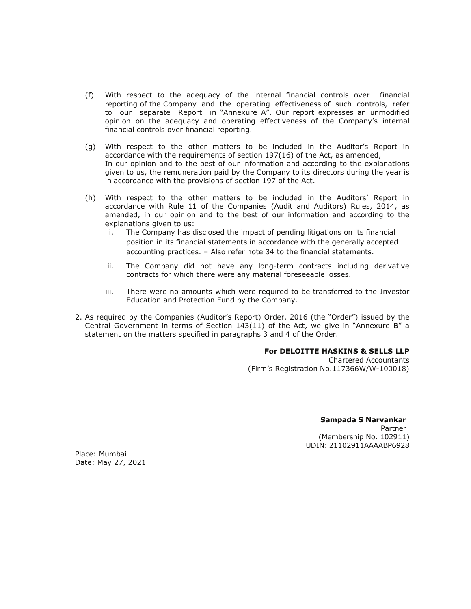- $(f)$ With respect to the adequacy of the internal financial controls over financial reporting of the Company and the operating effectiveness of such controls, refer to our separate Report in "Annexure A". Our report expresses an unmodified opinion on the adequacy and operating effectiveness of the Company's internal financial controls over financial reporting.
- (g) With respect to the other matters to be included in the Auditor's Report in accordance with the requirements of section 197(16) of the Act, as amended, In our opinion and to the best of our information and according to the explanations given to us, the remuneration paid by the Company to its directors during the year is in accordance with the provisions of section 197 of the Act.
- (h) With respect to the other matters to be included in the Auditors' Report in accordance with Rule 11 of the Companies (Audit and Auditors) Rules, 2014, as amended, in our opinion and to the best of our information and according to the explanations given to us:
	- $\mathbf{i}$ . The Company has disclosed the impact of pending litigations on its financial position in its financial statements in accordance with the generally accepted accounting practices. - Also refer note 34 to the financial statements.
	- The Company did not have any long-term contracts including derivative ii. contracts for which there were any material foreseeable losses.
	- There were no amounts which were required to be transferred to the Investor iii. Education and Protection Fund by the Company.
- 2. As required by the Companies (Auditor's Report) Order, 2016 (the "Order") issued by the Central Government in terms of Section 143(11) of the Act, we give in "Annexure B" a statement on the matters specified in paragraphs 3 and 4 of the Order.

## For DELOITTE HASKINS & SELLS LLP

**Chartered Accountants** (Firm's Registration No.117366W/W-100018)

> Sampada S Narvankar Partner (Membership No. 102911) UDIN: 21102911AAAABP6928

Place: Mumbai Date: May 27, 2021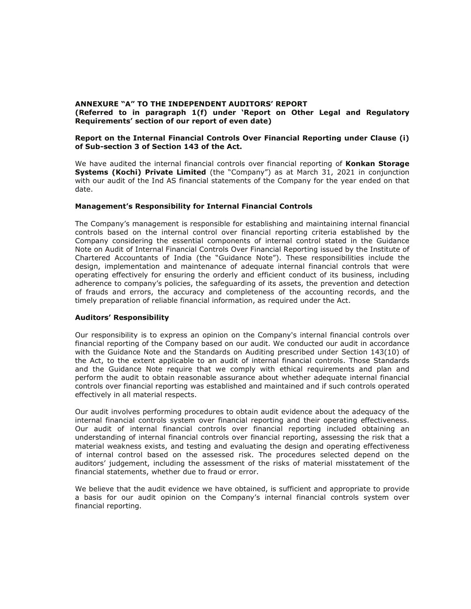## ANNEXURE "A" TO THE INDEPENDENT AUDITORS' REPORT (Referred to in paragraph 1(f) under 'Report on Other Legal and Regulatory Requirements' section of our report of even date)

## Report on the Internal Financial Controls Over Financial Reporting under Clause (i) of Sub-section 3 of Section 143 of the Act.

We have audited the internal financial controls over financial reporting of Konkan Storage **Systems (Kochi) Private Limited** (the "Company") as at March 31, 2021 in conjunction with our audit of the Ind AS financial statements of the Company for the year ended on that date.

## **Management's Responsibility for Internal Financial Controls**

The Company's management is responsible for establishing and maintaining internal financial controls based on the internal control over financial reporting criteria established by the Company considering the essential components of internal control stated in the Guidance Note on Audit of Internal Financial Controls Over Financial Reporting issued by the Institute of Chartered Accountants of India (the "Guidance Note"). These responsibilities include the design, implementation and maintenance of adequate internal financial controls that were operating effectively for ensuring the orderly and efficient conduct of its business, including adherence to company's policies, the safeguarding of its assets, the prevention and detection of frauds and errors, the accuracy and completeness of the accounting records, and the timely preparation of reliable financial information, as required under the Act.

## **Auditors' Responsibility**

Our responsibility is to express an opinion on the Company's internal financial controls over financial reporting of the Company based on our audit. We conducted our audit in accordance with the Guidance Note and the Standards on Auditing prescribed under Section 143(10) of the Act, to the extent applicable to an audit of internal financial controls. Those Standards and the Guidance Note reguire that we comply with ethical reguirements and plan and perform the audit to obtain reasonable assurance about whether adequate internal financial controls over financial reporting was established and maintained and if such controls operated effectively in all material respects.

Our audit involves performing procedures to obtain audit evidence about the adequacy of the internal financial controls system over financial reporting and their operating effectiveness. Our audit of internal financial controls over financial reporting included obtaining an understanding of internal financial controls over financial reporting, assessing the risk that a material weakness exists, and testing and evaluating the design and operating effectiveness of internal control based on the assessed risk. The procedures selected depend on the auditors' judgement, including the assessment of the risks of material misstatement of the financial statements, whether due to fraud or error.

We believe that the audit evidence we have obtained, is sufficient and appropriate to provide a basis for our audit opinion on the Company's internal financial controls system over financial reporting.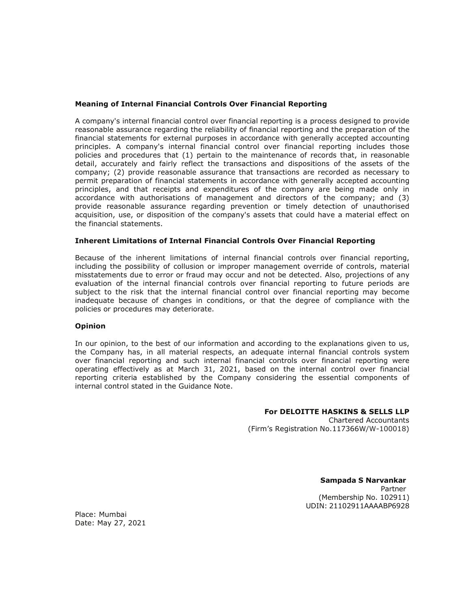## **Meaning of Internal Financial Controls Over Financial Reporting**

A company's internal financial control over financial reporting is a process designed to provide reasonable assurance regarding the reliability of financial reporting and the preparation of the financial statements for external purposes in accordance with generally accepted accounting principles. A company's internal financial control over financial reporting includes those policies and procedures that (1) pertain to the maintenance of records that, in reasonable detail, accurately and fairly reflect the transactions and dispositions of the assets of the company; (2) provide reasonable assurance that transactions are recorded as necessary to permit preparation of financial statements in accordance with generally accepted accounting principles, and that receipts and expenditures of the company are being made only in accordance with authorisations of management and directors of the company; and (3) provide reasonable assurance regarding prevention or timely detection of unauthorised acquisition, use, or disposition of the company's assets that could have a material effect on the financial statements.

## **Inherent Limitations of Internal Financial Controls Over Financial Reporting**

Because of the inherent limitations of internal financial controls over financial reporting, including the possibility of collusion or improper management override of controls, material misstatements due to error or fraud may occur and not be detected. Also, projections of any evaluation of the internal financial controls over financial reporting to future periods are subject to the risk that the internal financial control over financial reporting may become inadequate because of changes in conditions, or that the degree of compliance with the policies or procedures may deteriorate.

## **Opinion**

In our opinion, to the best of our information and according to the explanations given to us, the Company has, in all material respects, an adequate internal financial controls system over financial reporting and such internal financial controls over financial reporting were operating effectively as at March 31, 2021, based on the internal control over financial reporting criteria established by the Company considering the essential components of internal control stated in the Guidance Note.

## For DELOITTE HASKINS & SELLS LLP

Chartered Accountants (Firm's Registration No.117366W/W-100018)

> Sampada S Narvankar Partner (Membership No. 102911) UDIN: 21102911AAAABP6928

Place: Mumbai Date: May 27, 2021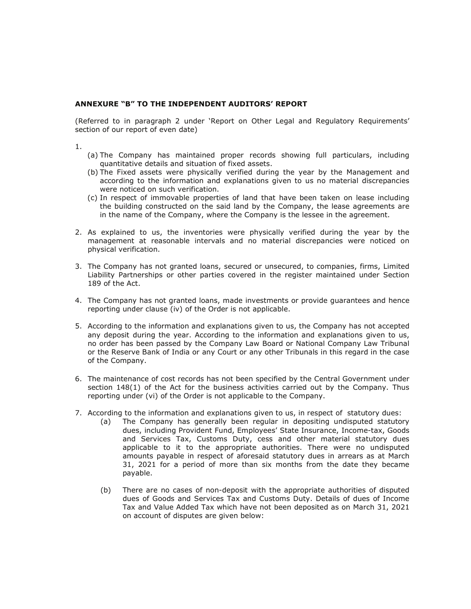## ANNEXURE "B" TO THE INDEPENDENT AUDITORS' REPORT

(Referred to in paragraph 2 under 'Report on Other Legal and Regulatory Requirements' section of our report of even date)

 $1<sub>1</sub>$ 

- (a) The Company has maintained proper records showing full particulars, including quantitative details and situation of fixed assets.
- (b) The Fixed assets were physically verified during the year by the Management and according to the information and explanations given to us no material discrepancies were noticed on such verification.
- (c) In respect of immovable properties of land that have been taken on lease including the building constructed on the said land by the Company, the lease agreements are in the name of the Company, where the Company is the lessee in the agreement.
- 2. As explained to us, the inventories were physically verified during the year by the management at reasonable intervals and no material discrepancies were noticed on physical verification.
- 3. The Company has not granted loans, secured or unsecured, to companies, firms, Limited Liability Partnerships or other parties covered in the register maintained under Section 189 of the Act.
- 4. The Company has not granted loans, made investments or provide guarantees and hence reporting under clause (iv) of the Order is not applicable.
- 5. According to the information and explanations given to us, the Company has not accepted any deposit during the year. According to the information and explanations given to us, no order has been passed by the Company Law Board or National Company Law Tribunal or the Reserve Bank of India or any Court or any other Tribunals in this regard in the case of the Company.
- 6. The maintenance of cost records has not been specified by the Central Government under section 148(1) of the Act for the business activities carried out by the Company. Thus reporting under (vi) of the Order is not applicable to the Company.
- 7. According to the information and explanations given to us, in respect of statutory dues:
	- $(a)$ The Company has generally been regular in depositing undisputed statutory dues, including Provident Fund, Employees' State Insurance, Income-tax, Goods and Services Tax, Customs Duty, cess and other material statutory dues applicable to it to the appropriate authorities. There were no undisputed amounts payable in respect of aforesaid statutory dues in arrears as at March 31, 2021 for a period of more than six months from the date they became payable.
	- $(b)$ There are no cases of non-deposit with the appropriate authorities of disputed dues of Goods and Services Tax and Customs Duty. Details of dues of Income Tax and Value Added Tax which have not been deposited as on March 31, 2021 on account of disputes are given below: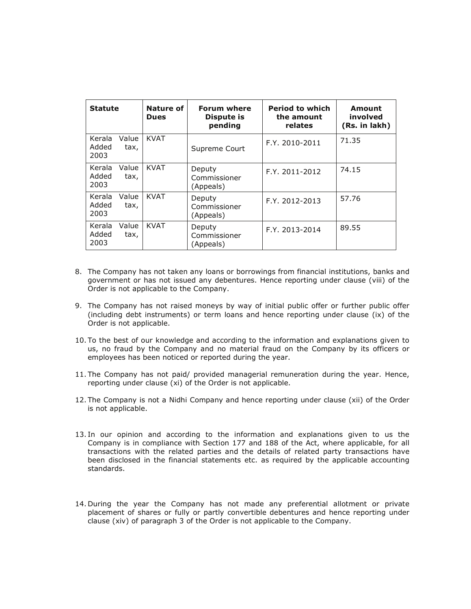| <b>Statute</b>                           | Nature of<br><b>Dues</b> | <b>Forum where</b><br>Dispute is<br>pending | <b>Period to which</b><br>the amount<br>relates | Amount<br>involved<br>(Rs. in lakh) |
|------------------------------------------|--------------------------|---------------------------------------------|-------------------------------------------------|-------------------------------------|
| Kerala<br>Value<br>Added<br>tax,<br>2003 | <b>KVAT</b>              | Supreme Court                               | F.Y. 2010-2011                                  | 71.35                               |
| Value<br>Kerala<br>Added<br>tax,<br>2003 | <b>KVAT</b>              | Deputy<br>Commissioner<br>(Appeals)         | F.Y. 2011-2012                                  | 74.15                               |
| Kerala<br>Value<br>Added<br>tax,<br>2003 | <b>KVAT</b>              | Deputy<br>Commissioner<br>(Appeals)         | F.Y. 2012-2013                                  | 57.76                               |
| Kerala<br>Value<br>Added<br>tax,<br>2003 | <b>KVAT</b>              | Deputy<br>Commissioner<br>(Appeals)         | F.Y. 2013-2014                                  | 89.55                               |

- 8. The Company has not taken any loans or borrowings from financial institutions, banks and government or has not issued any debentures. Hence reporting under clause (viii) of the Order is not applicable to the Company.
- 9. The Company has not raised moneys by way of initial public offer or further public offer (including debt instruments) or term loans and hence reporting under clause (ix) of the Order is not applicable.
- 10. To the best of our knowledge and according to the information and explanations given to us, no fraud by the Company and no material fraud on the Company by its officers or employees has been noticed or reported during the year.
- 11. The Company has not paid/ provided managerial remuneration during the year. Hence, reporting under clause (xi) of the Order is not applicable.
- 12. The Company is not a Nidhi Company and hence reporting under clause (xii) of the Order is not applicable.
- 13. In our opinion and according to the information and explanations given to us the Company is in compliance with Section 177 and 188 of the Act, where applicable, for all transactions with the related parties and the details of related party transactions have been disclosed in the financial statements etc. as required by the applicable accounting standards.
- 14. During the year the Company has not made any preferential allotment or private placement of shares or fully or partly convertible debentures and hence reporting under clause (xiv) of paragraph 3 of the Order is not applicable to the Company.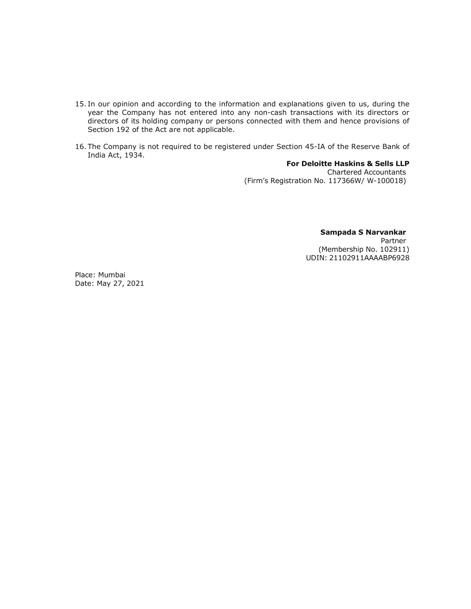- 15. In our opinion and according to the information and explanations given to us, during the year the Company has not entered into any non-cash transactions with its directors or directors of its holding company or persons connected with them and hence provisions of Section 192 of the Act are not applicable.
- 16. The Company is not required to be registered under Section 45-IA of the Reserve Bank of India Act, 1934.

For Deloitte Haskins & Sells LLP **Chartered Accountants** (Firm's Registration No. 117366W/ W-100018)

> Sampada S Narvankar Partner (Membership No. 102911) UDIN: 21102911AAAABP6928

Place: Mumbai Date: May 27, 2021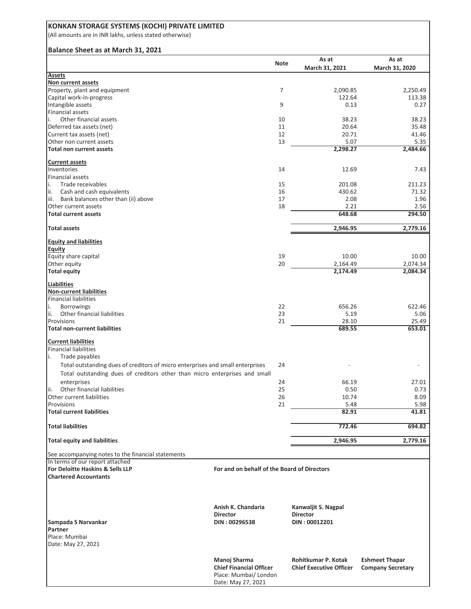(All amounts are in INR lakhs, unless stated otherwise)

## **Balance Sheet as at March 31, 2021**

|                                                                                |                                                         |             | As at                                  | As at                    |
|--------------------------------------------------------------------------------|---------------------------------------------------------|-------------|----------------------------------------|--------------------------|
|                                                                                |                                                         | <b>Note</b> | March 31, 2021                         | March 31, 2020           |
| <b>Assets</b>                                                                  |                                                         |             |                                        |                          |
| Non current assets                                                             |                                                         |             |                                        |                          |
| Property, plant and equipment                                                  |                                                         | 7           | 2,090.85<br>122.64                     | 2,250.49<br>113.38       |
| Capital work-in-progress<br>Intangible assets                                  |                                                         | 9           | 0.13                                   | 0.27                     |
| Financial assets                                                               |                                                         |             |                                        |                          |
| Other financial assets<br>li.                                                  |                                                         | 10          | 38.23                                  | 38.23                    |
| Deferred tax assets (net)                                                      |                                                         | 11          | 20.64                                  | 35.48                    |
| Current tax assets (net)                                                       |                                                         | 12          | 20.71                                  | 41.46                    |
| Other non current assets                                                       |                                                         | 13          | 5.07                                   | 5.35                     |
| <b>Total non current assets</b>                                                |                                                         |             | 2,298.27                               | 2,484.66                 |
| <b>Current assets</b>                                                          |                                                         |             |                                        |                          |
| Inventories                                                                    |                                                         | 14          | 12.69                                  | 7.43                     |
| <b>Financial assets</b>                                                        |                                                         |             |                                        |                          |
| Trade receivables<br>li.                                                       |                                                         | 15          | 201.08                                 | 211.23                   |
| ii.<br>Cash and cash equivalents                                               |                                                         | 16          | 430.62                                 | 71.32                    |
| iii. Bank balances other than (ii) above                                       |                                                         | 17          | 2.08                                   | 1.96                     |
| Other current assets                                                           |                                                         | 18          | 2.21                                   | 2.56                     |
| <b>Total current assets</b>                                                    |                                                         |             | 648.68                                 | 294.50                   |
| <b>Total assets</b>                                                            |                                                         |             | 2,946.95                               | 2,779.16                 |
| <b>Equity and liabilities</b>                                                  |                                                         |             |                                        |                          |
| Equity                                                                         |                                                         |             |                                        |                          |
| Equity share capital                                                           |                                                         | 19          | 10.00                                  | 10.00                    |
| Other equity                                                                   |                                                         | 20          | 2,164.49                               | 2,074.34                 |
| <b>Total equity</b>                                                            |                                                         |             | 2,174.49                               | 2,084.34                 |
|                                                                                |                                                         |             |                                        |                          |
| <b>Liabilities</b><br><b>Non-current liabilities</b>                           |                                                         |             |                                        |                          |
| <b>Financial liabilities</b>                                                   |                                                         |             |                                        |                          |
| <b>Borrowings</b><br>li.                                                       |                                                         | 22          | 656.26                                 | 622.46                   |
| Other financial liabilities<br>ii.                                             |                                                         | 23          | 5.19                                   | 5.06                     |
| Provisions                                                                     |                                                         | 21          | 28.10                                  | 25.49                    |
| <b>Total non-current liabilities</b>                                           |                                                         |             | 689.55                                 | 653.01                   |
|                                                                                |                                                         |             |                                        |                          |
| <b>Current liabilities</b><br>Financial liabilities                            |                                                         |             |                                        |                          |
| Trade payables<br>li.                                                          |                                                         |             |                                        |                          |
|                                                                                |                                                         | 24          |                                        |                          |
| Total outstanding dues of creditors of micro enterprises and small enterprises |                                                         |             |                                        |                          |
| Total outstanding dues of creditors other than micro enterprises and small     |                                                         |             |                                        |                          |
| enterprises                                                                    |                                                         | 24          | 66.19                                  | 27.01                    |
| Other financial liabilities<br>lii.<br>Other current liabilities               |                                                         | 25<br>26    | 0.50<br>10.74                          | 0.73<br>8.09             |
| Provisions                                                                     |                                                         | 21          | 5.48                                   | 5.98                     |
| <b>Total current liabilities</b>                                               |                                                         |             | 82.91                                  | 41.81                    |
|                                                                                |                                                         |             |                                        |                          |
| <b>Total liabilities</b>                                                       |                                                         |             | 772.46                                 | 694.82                   |
| <b>Total equity and liabilities</b>                                            |                                                         |             | 2,946.95                               | 2,779.16                 |
| See accompanying notes to the financial statements                             |                                                         |             |                                        |                          |
| In terms of our report attached                                                |                                                         |             |                                        |                          |
| For Deloitte Haskins & Sells LLP                                               | For and on behalf of the Board of Directors             |             |                                        |                          |
| <b>Chartered Accountants</b>                                                   |                                                         |             |                                        |                          |
|                                                                                |                                                         |             |                                        |                          |
|                                                                                |                                                         |             |                                        |                          |
|                                                                                |                                                         |             |                                        |                          |
|                                                                                | Anish K. Chandaria<br><b>Director</b>                   |             | Kanwaljit S. Nagpal<br><b>Director</b> |                          |
| Sampada S Narvankar                                                            | DIN: 00296538                                           |             | DIN: 00012201                          |                          |
| Partner                                                                        |                                                         |             |                                        |                          |
| Place: Mumbai                                                                  |                                                         |             |                                        |                          |
| Date: May 27, 2021                                                             |                                                         |             |                                        |                          |
|                                                                                |                                                         |             |                                        |                          |
|                                                                                | Manoj Sharma                                            |             | Rohitkumar P. Kotak                    | <b>Eshmeet Thapar</b>    |
|                                                                                | <b>Chief Financial Officer</b><br>Place: Mumbai/ London |             | <b>Chief Executive Officer</b>         | <b>Company Secretary</b> |

Date: May 27, 2021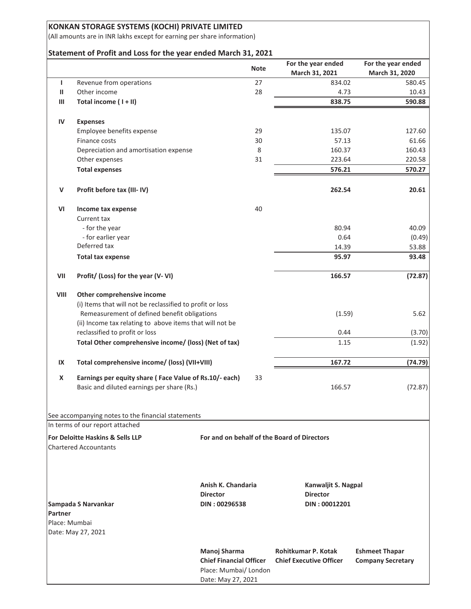(All amounts are in INR lakhs except for earning per share information)

## **Statement of Profit and Loss for the year ended March 31, 2021**

|               | Statement of Profit and Loss for the year ended March 31, 2021                          |                                             | For the year ended               | For the year ended       |
|---------------|-----------------------------------------------------------------------------------------|---------------------------------------------|----------------------------------|--------------------------|
|               |                                                                                         | <b>Note</b>                                 | March 31, 2021                   | March 31, 2020           |
| L             | Revenue from operations                                                                 | 27                                          | 834.02                           | 580.45                   |
| Ш             | Other income                                                                            | 28                                          | 4.73                             | 10.43                    |
| Ш             | Total income (1+II)                                                                     |                                             | 838.75                           | 590.88                   |
| IV            | <b>Expenses</b>                                                                         |                                             |                                  |                          |
|               | Employee benefits expense                                                               | 29                                          | 135.07                           | 127.60                   |
|               | Finance costs                                                                           | 30                                          | 57.13                            | 61.66                    |
|               | Depreciation and amortisation expense                                                   | 8                                           | 160.37                           | 160.43                   |
|               | Other expenses                                                                          | 31                                          | 223.64                           | 220.58                   |
|               | <b>Total expenses</b>                                                                   |                                             | 576.21                           | 570.27                   |
| V             | Profit before tax (III-IV)                                                              |                                             | 262.54                           | 20.61                    |
|               |                                                                                         |                                             |                                  |                          |
| VI            | Income tax expense<br>Current tax                                                       | 40                                          |                                  |                          |
|               | - for the year                                                                          |                                             | 80.94                            | 40.09                    |
|               | - for earlier year                                                                      |                                             | 0.64                             | (0.49)                   |
|               | Deferred tax                                                                            |                                             | 14.39                            | 53.88                    |
|               | <b>Total tax expense</b>                                                                |                                             | 95.97                            | 93.48                    |
| VII           | Profit/ (Loss) for the year (V-VI)                                                      |                                             | 166.57                           | (72.87)                  |
|               |                                                                                         |                                             |                                  |                          |
| VIII          | Other comprehensive income<br>(i) Items that will not be reclassified to profit or loss |                                             |                                  |                          |
|               | Remeasurement of defined benefit obligations                                            |                                             | (1.59)                           | 5.62                     |
|               | (ii) Income tax relating to above items that will not be                                |                                             |                                  |                          |
|               | reclassified to profit or loss                                                          |                                             | 0.44                             | (3.70)                   |
|               | Total Other comprehensive income/ (loss) (Net of tax)                                   |                                             | 1.15                             | (1.92)                   |
|               |                                                                                         |                                             |                                  |                          |
| IX            | Total comprehensive income/ (loss) (VII+VIII)                                           |                                             | 167.72                           | (74.79)                  |
| X             | Earnings per equity share (Face Value of Rs.10/- each)                                  | 33                                          |                                  |                          |
|               | Basic and diluted earnings per share (Rs.)                                              |                                             | 166.57                           | (72.87)                  |
|               |                                                                                         |                                             |                                  |                          |
|               | See accompanying notes to the financial statements                                      |                                             |                                  |                          |
|               | In terms of our report attached                                                         |                                             |                                  |                          |
|               | For Deloitte Haskins & Sells LLP                                                        | For and on behalf of the Board of Directors |                                  |                          |
|               | <b>Chartered Accountants</b>                                                            |                                             |                                  |                          |
|               |                                                                                         |                                             |                                  |                          |
|               |                                                                                         |                                             |                                  |                          |
|               |                                                                                         | Anish K. Chandaria                          | Kanwaljit S. Nagpal              |                          |
|               | Sampada S Narvankar                                                                     | <b>Director</b><br>DIN: 00296538            | <b>Director</b><br>DIN: 00012201 |                          |
| Partner       |                                                                                         |                                             |                                  |                          |
| Place: Mumbai |                                                                                         |                                             |                                  |                          |
|               | Date: May 27, 2021                                                                      |                                             |                                  |                          |
|               |                                                                                         |                                             |                                  |                          |
|               |                                                                                         | Manoj Sharma                                | Rohitkumar P. Kotak              | <b>Eshmeet Thapar</b>    |
|               |                                                                                         | <b>Chief Financial Officer</b>              | <b>Chief Executive Officer</b>   | <b>Company Secretary</b> |
|               |                                                                                         | Place: Mumbai/ London                       |                                  |                          |
|               |                                                                                         | Date: May 27, 2021                          |                                  |                          |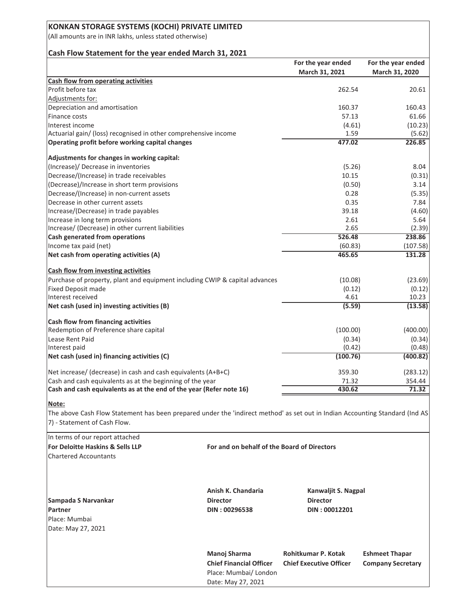(All amounts are in INR lakhs, unless stated otherwise)

## **Cash Flow Statement for the year ended March 31, 2021**

|                                                                                                                                                                       | For the year ended | For the year ended |
|-----------------------------------------------------------------------------------------------------------------------------------------------------------------------|--------------------|--------------------|
|                                                                                                                                                                       | March 31, 2021     | March 31, 2020     |
| <b>Cash flow from operating activities</b>                                                                                                                            |                    |                    |
| Profit before tax                                                                                                                                                     | 262.54             | 20.61              |
| Adjustments for:                                                                                                                                                      |                    |                    |
| Depreciation and amortisation                                                                                                                                         | 160.37             | 160.43             |
| Finance costs                                                                                                                                                         | 57.13              | 61.66              |
| Interest income                                                                                                                                                       | (4.61)             | (10.23)            |
| Actuarial gain/ (loss) recognised in other comprehensive income                                                                                                       | 1.59               | (5.62)             |
| Operating profit before working capital changes                                                                                                                       | 477.02             | 226.85             |
| Adjustments for changes in working capital:                                                                                                                           |                    |                    |
| (Increase)/ Decrease in inventories                                                                                                                                   | (5.26)             | 8.04               |
| Decrease/(Increase) in trade receivables                                                                                                                              | 10.15              | (0.31)             |
| (Decrease)/Increase in short term provisions                                                                                                                          | (0.50)             | 3.14               |
| Decrease/(Increase) in non-current assets                                                                                                                             | 0.28               | (5.35)             |
| Decrease in other current assets                                                                                                                                      | 0.35               | 7.84               |
| Increase/(Decrease) in trade payables                                                                                                                                 | 39.18              | (4.60)             |
| Increase in long term provisions                                                                                                                                      | 2.61               | 5.64               |
| Increase/ (Decrease) in other current liabilities                                                                                                                     | 2.65               | (2.39)             |
| Cash generated from operations                                                                                                                                        | 526.48             | 238.86             |
| Income tax paid (net)                                                                                                                                                 | (60.83)            | (107.58)           |
| Net cash from operating activities (A)                                                                                                                                | 465.65             | 131.28             |
| Cash flow from investing activities                                                                                                                                   |                    |                    |
| Purchase of property, plant and equipment including CWIP & capital advances                                                                                           | (10.08)            | (23.69)            |
| <b>Fixed Deposit made</b>                                                                                                                                             | (0.12)             | (0.12)             |
| Interest received                                                                                                                                                     | 4.61               | 10.23              |
| Net cash (used in) investing activities (B)                                                                                                                           | (5.59)             | (13.58)            |
| Cash flow from financing activities                                                                                                                                   |                    |                    |
| Redemption of Preference share capital                                                                                                                                | (100.00)           | (400.00)           |
| Lease Rent Paid                                                                                                                                                       | (0.34)             | (0.34)             |
| Interest paid                                                                                                                                                         | (0.42)             | (0.48)             |
| Net cash (used in) financing activities (C)                                                                                                                           | (100.76)           | (400.82)           |
| Net increase/ (decrease) in cash and cash equivalents (A+B+C)                                                                                                         | 359.30             | (283.12)           |
| Cash and cash equivalents as at the beginning of the year                                                                                                             | 71.32              | 354.44             |
| Cash and cash equivalents as at the end of the year (Refer note 16)                                                                                                   | 430.62             | 71.32              |
| Note:<br>The above Cash Flow Statement has been prepared under the 'indirect method' as set out in Indian Accounting Standard (Ind AS<br>7) - Statement of Cash Flow. |                    |                    |

In terms of our report attached

Chartered Accountants

**Sampada S Narvankar Sampada S Narvankar Sampada S Narvankar Sepanjar S Director** Director **Partner DIN : 00296538 DIN : 00012201** Place: Mumbai Date: May 27, 2021

**For Deloitte Haskins & Sells LLP For and on behalf of the Board of Directors**

**Anish K. Chandaria Kanwaljit S. Nagpal**

**Manoj Sharma Rohitkumar P. Kotak Eshmeet Thapar Chief Financial Officer Chief Executive Officer Company Secretary** Place: Mumbai/ London Date: May 27, 2021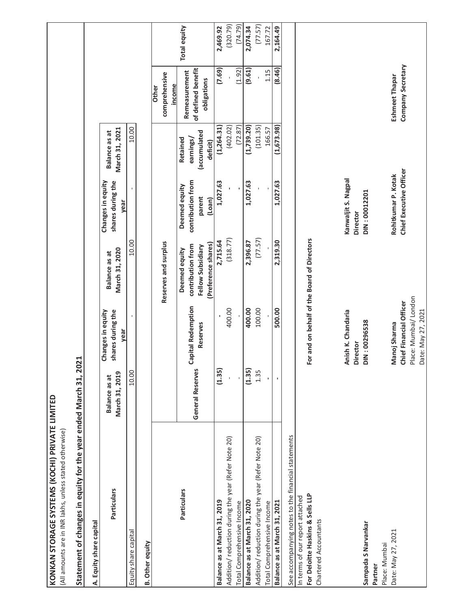| KONKAN STORAGE SYSTEMS (KOCHI) PRIVATE LIMITED<br>(All amounts are in INR lakhs, unless stated otherwise) |                                        |                                                |                                                         |                                                |                                        |                                     |                     |
|-----------------------------------------------------------------------------------------------------------|----------------------------------------|------------------------------------------------|---------------------------------------------------------|------------------------------------------------|----------------------------------------|-------------------------------------|---------------------|
| Statement of changes in equity for the year ended March 31, 2021                                          |                                        |                                                |                                                         |                                                |                                        |                                     |                     |
| A. Equity share capital                                                                                   |                                        |                                                |                                                         |                                                |                                        |                                     |                     |
| <b>Particulars</b>                                                                                        | March 31, 2019<br><b>Balance as at</b> | Changes in equity<br>shares during the<br>year | March 31, 2020<br><b>Balance as at</b>                  | Changes in equity<br>shares during the<br>year | March 31, 2021<br><b>Balance as at</b> |                                     |                     |
| Equity share capital                                                                                      | 10.00                                  |                                                | 10.00                                                   |                                                | 10.00                                  |                                     |                     |
| <b>B.</b> Other equity                                                                                    |                                        |                                                |                                                         |                                                |                                        |                                     |                     |
|                                                                                                           |                                        |                                                | Reserves and surplus                                    |                                                |                                        | comprehensive<br>Other              |                     |
|                                                                                                           |                                        |                                                |                                                         |                                                |                                        | income                              |                     |
| Particulars                                                                                               | General Reserves                       | <b>Capital Redemption</b><br>Reserves          | contribution from<br>Fellow Subsidiary<br>Deemed equity | contribution from<br>Deemed equity<br>parent   | accumulated<br>Retained<br>earnings/   | of defined benefit<br>Remeasurement | <b>Total equity</b> |
|                                                                                                           |                                        |                                                | (Preference shares)                                     | (Loan)                                         | deficit)                               | obligations                         |                     |
| Balance as at March 31, 2019                                                                              | (1.35)                                 |                                                | 2,715.64                                                | 1,027.63                                       | (1,264.31)                             | (7.69)                              | 2,469.92            |
| Addition/reduction during the year (Refer Note 20)                                                        |                                        | 400.00                                         | (318.77)                                                |                                                | (402.02)                               |                                     | (320.79)            |
| Total Comprehensive Income                                                                                |                                        |                                                |                                                         |                                                | (72.87)                                | (1.92)                              | (74.79)             |
| Balance as at March 31, 2020                                                                              | (1.35)                                 | 400.00                                         | 2,396.87                                                | 1,027.63                                       | (1,739.20)                             | (9.61)                              | 2,074.34            |
| Addition/reduction during the year (Refer Note 20)                                                        | 1.35                                   | 100.00                                         | (77.57)                                                 |                                                | (101.35)                               |                                     | (77.57)             |
| Total Comprehensive Income                                                                                |                                        |                                                |                                                         |                                                | 166.57                                 | 1.15                                | 167.72              |
| Balance as at March 31, 2021                                                                              |                                        | 500.00                                         | 2,319.30                                                | 1,027.63                                       | (1,673.98)                             | (8.46)                              | 2,164.49            |
| See accompanying notes to the financial statements                                                        |                                        |                                                |                                                         |                                                |                                        |                                     |                     |
| In terms of our report attached                                                                           |                                        |                                                |                                                         |                                                |                                        |                                     |                     |
| For Deloitte Haskins & Sells LLP                                                                          |                                        |                                                | For and on behalf of the Board of Directors             |                                                |                                        |                                     |                     |
| Chartered Accountants                                                                                     |                                        |                                                |                                                         |                                                |                                        |                                     |                     |
|                                                                                                           |                                        | Anish K. Chandaria                             |                                                         | Kanwaljit S. Nagpal                            |                                        |                                     |                     |
|                                                                                                           |                                        | <b>Director</b>                                |                                                         | Director                                       |                                        |                                     |                     |
| Sampada S Narvankar                                                                                       |                                        | DIN: 00296538                                  |                                                         | DIN : 00012201                                 |                                        |                                     |                     |
| Partner                                                                                                   |                                        |                                                |                                                         |                                                |                                        |                                     |                     |
| Place: Mumbai                                                                                             |                                        |                                                |                                                         |                                                |                                        |                                     |                     |
| Date: May 27, 2021                                                                                        |                                        | Manoj Sharma                                   |                                                         | Rohitkumar P. Kotak                            |                                        | Eshmeet Thapar                      |                     |
|                                                                                                           |                                        | Chief Financial Officer                        |                                                         | Chief Executive Officer                        |                                        | Company Secretary                   |                     |
|                                                                                                           |                                        | Place: Mumbai/ London                          |                                                         |                                                |                                        |                                     |                     |
|                                                                                                           |                                        | Date: May 27, 2021                             |                                                         |                                                |                                        |                                     |                     |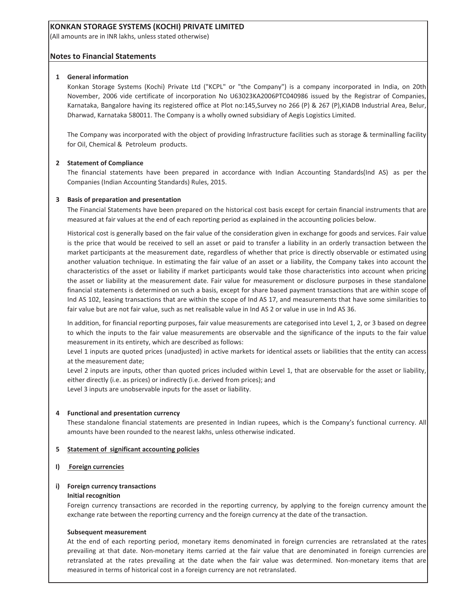(All amounts are in INR lakhs, unless stated otherwise)

## **Notes to Financial Statements**

#### **1 General information**

Konkan Storage Systems (Kochi) Private Ltd ("KCPL" or "the Company") is a company incorporated in India, on 20th November, 2006 vide certificate of incorporation No U63023KA2006PTC040986 issued by the Registrar of Companies, Karnataka, Bangalore having its registered office at Plot no:145,Survey no 266 (P) & 267 (P),KIADB Industrial Area, Belur, Dharwad, Karnataka 580011. The Company is a wholly owned subsidiary of Aegis Logistics Limited.

The Company was incorporated with the object of providing Infrastructure facilities such as storage & terminalling facility for Oil, Chemical & Petroleum products.

## **2 Statement of Compliance**

The financial statements have been prepared in accordance with Indian Accounting Standards(Ind AS) as per the Companies (Indian Accounting Standards) Rules, 2015.

#### **3 Basis of preparation and presentation**

The Financial Statements have been prepared on the historical cost basis except for certain financial instruments that are measured at fair values at the end of each reporting period as explained in the accounting policies below.

Historical cost is generally based on the fair value of the consideration given in exchange for goods and services. Fair value is the price that would be received to sell an asset or paid to transfer a liability in an orderly transaction between the market participants at the measurement date, regardless of whether that price is directly observable or estimated using another valuation technique. In estimating the fair value of an asset or a liability, the Company takes into account the characteristics of the asset or liability if market participants would take those characteristics into account when pricing the asset or liability at the measurement date. Fair value for measurement or disclosure purposes in these standalone financial statements is determined on such a basis, except for share based payment transactions that are within scope of Ind AS 102, leasing transactions that are within the scope of Ind AS 17, and measurements that have some similarities to fair value but are not fair value, such as net realisable value in Ind AS 2 or value in use in Ind AS 36.

In addition, for financial reporting purposes, fair value measurements are categorised into Level 1, 2, or 3 based on degree to which the inputs to the fair value measurements are observable and the significance of the inputs to the fair value measurement in its entirety, which are described as follows:

Level 1 inputs are quoted prices (unadjusted) in active markets for identical assets or liabilities that the entity can access at the measurement date;

Level 2 inputs are inputs, other than quoted prices included within Level 1, that are observable for the asset or liability, either directly (i.e. as prices) or indirectly (i.e. derived from prices); and Level 3 inputs are unobservable inputs for the asset or liability.

#### **4 Functional and presentation currency**

These standalone financial statements are presented in Indian rupees, which is the Company's functional currency. All amounts have been rounded to the nearest lakhs, unless otherwise indicated.

#### **5 Statement of significant accounting policies**

#### **I) Foreign currencies**

#### **i) Foreign currency transactions**

#### **Initial recognition**

Foreign currency transactions are recorded in the reporting currency, by applying to the foreign currency amount the exchange rate between the reporting currency and the foreign currency at the date of the transaction.

#### **Subsequent measurement**

At the end of each reporting period, monetary items denominated in foreign currencies are retranslated at the rates prevailing at that date. Non-monetary items carried at the fair value that are denominated in foreign currencies are retranslated at the rates prevailing at the date when the fair value was determined. Non-monetary items that are measured in terms of historical cost in a foreign currency are not retranslated.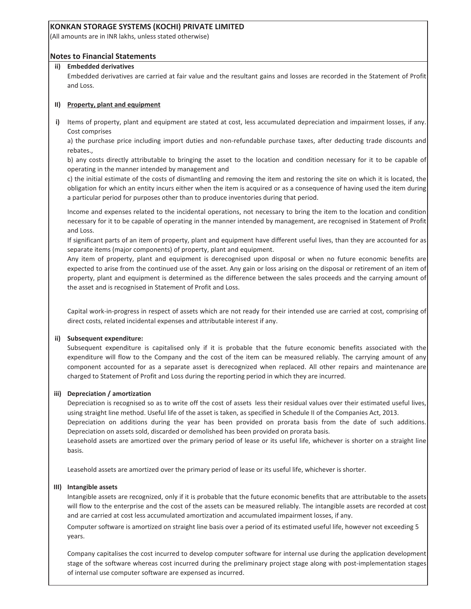(All amounts are in INR lakhs, unless stated otherwise)

## **Notes to Financial Statements**

#### **ii) Embedded derivatives**

Embedded derivatives are carried at fair value and the resultant gains and losses are recorded in the Statement of Profit and Loss.

## **II) Property, plant and equipment**

**i)** Items of property, plant and equipment are stated at cost, less accumulated depreciation and impairment losses, if any. Cost comprises

a) the purchase price including import duties and non-refundable purchase taxes, after deducting trade discounts and rebates.,

b) any costs directly attributable to bringing the asset to the location and condition necessary for it to be capable of operating in the manner intended by management and

c) the initial estimate of the costs of dismantling and removing the item and restoring the site on which it is located, the obligation for which an entity incurs either when the item is acquired or as a consequence of having used the item during a particular period for purposes other than to produce inventories during that period.

Income and expenses related to the incidental operations, not necessary to bring the item to the location and condition necessary for it to be capable of operating in the manner intended by management, are recognised in Statement of Profit and Loss.

If significant parts of an item of property, plant and equipment have different useful lives, than they are accounted for as separate items (major components) of property, plant and equipment.

Any item of property, plant and equipment is derecognised upon disposal or when no future economic benefits are expected to arise from the continued use of the asset. Any gain or loss arising on the disposal or retirement of an item of property, plant and equipment is determined as the difference between the sales proceeds and the carrying amount of the asset and is recognised in Statement of Profit and Loss.

Capital work-in-progress in respect of assets which are not ready for their intended use are carried at cost, comprising of direct costs, related incidental expenses and attributable interest if any.

## **ii) Subsequent expenditure:**

Subsequent expenditure is capitalised only if it is probable that the future economic benefits associated with the expenditure will flow to the Company and the cost of the item can be measured reliably. The carrying amount of any component accounted for as a separate asset is derecognized when replaced. All other repairs and maintenance are charged to Statement of Profit and Loss during the reporting period in which they are incurred.

## **iii) Depreciation / amortization**

Depreciation is recognised so as to write off the cost of assets less their residual values over their estimated useful lives, using straight line method. Useful life of the asset is taken, as specified in Schedule II of the Companies Act, 2013.

Depreciation on additions during the year has been provided on prorata basis from the date of such additions. Depreciation on assets sold, discarded or demolished has been provided on prorata basis.

Leasehold assets are amortized over the primary period of lease or its useful life, whichever is shorter on a straight line basis.

Leasehold assets are amortized over the primary period of lease or its useful life, whichever is shorter.

## **III) Intangible assets**

Intangible assets are recognized, only if it is probable that the future economic benefits that are attributable to the assets will flow to the enterprise and the cost of the assets can be measured reliably. The intangible assets are recorded at cost and are carried at cost less accumulated amortization and accumulated impairment losses, if any.

Computer software is amortized on straight line basis over a period of its estimated useful life, however not exceeding 5 years.

Company capitalises the cost incurred to develop computer software for internal use during the application development stage of the software whereas cost incurred during the preliminary project stage along with post-implementation stages of internal use computer software are expensed as incurred.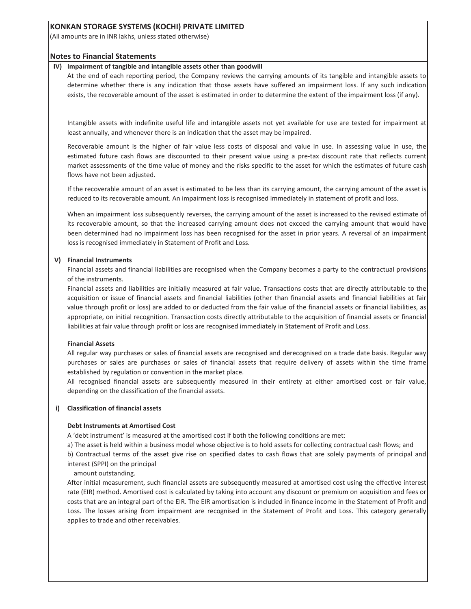(All amounts are in INR lakhs, unless stated otherwise)

## **Notes to Financial Statements**

#### **IV) Impairment of tangible and intangible assets other than goodwill**

At the end of each reporting period, the Company reviews the carrying amounts of its tangible and intangible assets to determine whether there is any indication that those assets have suffered an impairment loss. If any such indication exists, the recoverable amount of the asset is estimated in order to determine the extent of the impairment loss (if any).

Intangible assets with indefinite useful life and intangible assets not yet available for use are tested for impairment at least annually, and whenever there is an indication that the asset may be impaired.

Recoverable amount is the higher of fair value less costs of disposal and value in use. In assessing value in use, the estimated future cash flows are discounted to their present value using a pre-tax discount rate that reflects current market assessments of the time value of money and the risks specific to the asset for which the estimates of future cash flows have not been adjusted.

If the recoverable amount of an asset is estimated to be less than its carrying amount, the carrying amount of the asset is reduced to its recoverable amount. An impairment loss is recognised immediately in statement of profit and loss.

When an impairment loss subsequently reverses, the carrying amount of the asset is increased to the revised estimate of its recoverable amount, so that the increased carrying amount does not exceed the carrying amount that would have been determined had no impairment loss has been recognised for the asset in prior years. A reversal of an impairment loss is recognised immediately in Statement of Profit and Loss.

## **V) Financial Instruments**

Financial assets and financial liabilities are recognised when the Company becomes a party to the contractual provisions of the instruments.

Financial assets and liabilities are initially measured at fair value. Transactions costs that are directly attributable to the acquisition or issue of financial assets and financial liabilities (other than financial assets and financial liabilities at fair value through profit or loss) are added to or deducted from the fair value of the financial assets or financial liabilities, as appropriate, on initial recognition. Transaction costs directly attributable to the acquisition of financial assets or financial liabilities at fair value through profit or loss are recognised immediately in Statement of Profit and Loss.

## **Financial Assets**

All regular way purchases or sales of financial assets are recognised and derecognised on a trade date basis. Regular way purchases or sales are purchases or sales of financial assets that require delivery of assets within the time frame established by regulation or convention in the market place.

All recognised financial assets are subsequently measured in their entirety at either amortised cost or fair value, depending on the classification of the financial assets.

## **i) Classification of financial assets**

## **Debt Instruments at Amortised Cost**

A 'debt instrument' is measured at the amortised cost if both the following conditions are met:

a) The asset is held within a business model whose objective is to hold assets for collecting contractual cash flows; and

b) Contractual terms of the asset give rise on specified dates to cash flows that are solely payments of principal and interest (SPPI) on the principal

## amount outstanding.

After initial measurement, such financial assets are subsequently measured at amortised cost using the effective interest rate (EIR) method. Amortised cost is calculated by taking into account any discount or premium on acquisition and fees or costs that are an integral part of the EIR. The EIR amortisation is included in finance income in the Statement of Profit and Loss. The losses arising from impairment are recognised in the Statement of Profit and Loss. This category generally applies to trade and other receivables.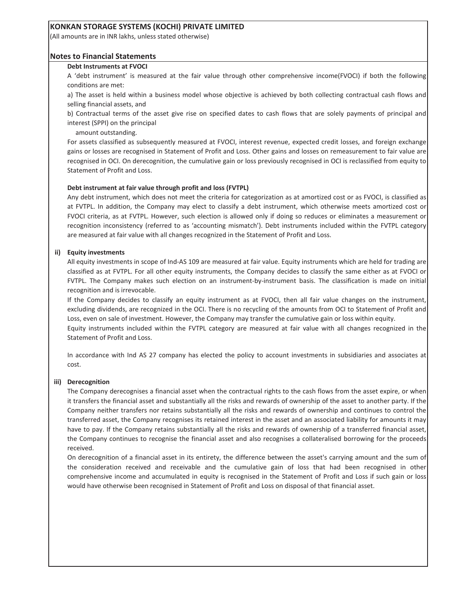(All amounts are in INR lakhs, unless stated otherwise)

## **Notes to Financial Statements**

### **Debt Instruments at FVOCI**

A 'debt instrument' is measured at the fair value through other comprehensive income(FVOCI) if both the following conditions are met:

a) The asset is held within a business model whose objective is achieved by both collecting contractual cash flows and selling financial assets, and

b) Contractual terms of the asset give rise on specified dates to cash flows that are solely payments of principal and interest (SPPI) on the principal

amount outstanding.

For assets classified as subsequently measured at FVOCI, interest revenue, expected credit losses, and foreign exchange gains or losses are recognised in Statement of Profit and Loss. Other gains and losses on remeasurement to fair value are recognised in OCI. On derecognition, the cumulative gain or loss previously recognised in OCI is reclassified from equity to Statement of Profit and Loss.

## **Debt instrument at fair value through profit and loss (FVTPL)**

Any debt instrument, which does not meet the criteria for categorization as at amortized cost or as FVOCI, is classified as at FVTPL. In addition, the Company may elect to classify a debt instrument, which otherwise meets amortized cost or FVOCI criteria, as at FVTPL. However, such election is allowed only if doing so reduces or eliminates a measurement or recognition inconsistency (referred to as 'accounting mismatch'). Debt instruments included within the FVTPL category are measured at fair value with all changes recognized in the Statement of Profit and Loss.

## **ii) Equity investments**

All equity investments in scope of Ind-AS 109 are measured at fair value. Equity instruments which are held for trading are classified as at FVTPL. For all other equity instruments, the Company decides to classify the same either as at FVOCI or FVTPL. The Company makes such election on an instrument-by-instrument basis. The classification is made on initial recognition and is irrevocable.

If the Company decides to classify an equity instrument as at FVOCI, then all fair value changes on the instrument, excluding dividends, are recognized in the OCI. There is no recycling of the amounts from OCI to Statement of Profit and Loss, even on sale of investment. However, the Company may transfer the cumulative gain or loss within equity. Equity instruments included within the FVTPL category are measured at fair value with all changes recognized in the Statement of Profit and Loss.

In accordance with Ind AS 27 company has elected the policy to account investments in subsidiaries and associates at cost.

## **iii) Derecognition**

The Company derecognises a financial asset when the contractual rights to the cash flows from the asset expire, or when it transfers the financial asset and substantially all the risks and rewards of ownership of the asset to another party. If the Company neither transfers nor retains substantially all the risks and rewards of ownership and continues to control the transferred asset, the Company recognises its retained interest in the asset and an associated liability for amounts it may have to pay. If the Company retains substantially all the risks and rewards of ownership of a transferred financial asset, the Company continues to recognise the financial asset and also recognises a collateralised borrowing for the proceeds received.

On derecognition of a financial asset in its entirety, the difference between the asset's carrying amount and the sum of the consideration received and receivable and the cumulative gain of loss that had been recognised in other comprehensive income and accumulated in equity is recognised in the Statement of Profit and Loss if such gain or loss would have otherwise been recognised in Statement of Profit and Loss on disposal of that financial asset.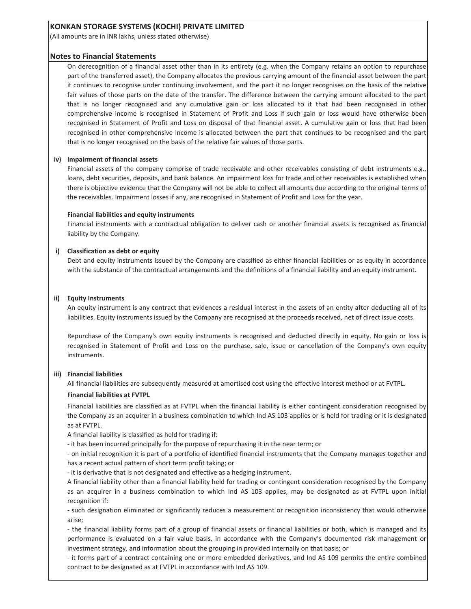(All amounts are in INR lakhs, unless stated otherwise)

## **Notes to Financial Statements**

On derecognition of a financial asset other than in its entirety (e.g. when the Company retains an option to repurchase part of the transferred asset), the Company allocates the previous carrying amount of the financial asset between the part it continues to recognise under continuing involvement, and the part it no longer recognises on the basis of the relative fair values of those parts on the date of the transfer. The difference between the carrying amount allocated to the part that is no longer recognised and any cumulative gain or loss allocated to it that had been recognised in other comprehensive income is recognised in Statement of Profit and Loss if such gain or loss would have otherwise been recognised in Statement of Profit and Loss on disposal of that financial asset. A cumulative gain or loss that had been recognised in other comprehensive income is allocated between the part that continues to be recognised and the part that is no longer recognised on the basis of the relative fair values of those parts.

## **iv) Impairment of financial assets**

Financial assets of the company comprise of trade receivable and other receivables consisting of debt instruments e.g., loans, debt securities, deposits, and bank balance. An impairment loss for trade and other receivables is established when there is objective evidence that the Company will not be able to collect all amounts due according to the original terms of the receivables. Impairment losses if any, are recognised in Statement of Profit and Loss for the year.

## **Financial liabilities and equity instruments**

Financial instruments with a contractual obligation to deliver cash or another financial assets is recognised as financial liability by the Company.

## **i) Classification as debt or equity**

Debt and equity instruments issued by the Company are classified as either financial liabilities or as equity in accordance with the substance of the contractual arrangements and the definitions of a financial liability and an equity instrument.

#### **ii) Equity Instruments**

An equity instrument is any contract that evidences a residual interest in the assets of an entity after deducting all of its liabilities. Equity instruments issued by the Company are recognised at the proceeds received, net of direct issue costs.

Repurchase of the Company's own equity instruments is recognised and deducted directly in equity. No gain or loss is recognised in Statement of Profit and Loss on the purchase, sale, issue or cancellation of the Company's own equity instruments.

## **iii) Financial liabilities**

All financial liabilities are subsequently measured at amortised cost using the effective interest method or at FVTPL.

## **Financial liabilities at FVTPL**

Financial liabilities are classified as at FVTPL when the financial liability is either contingent consideration recognised by the Company as an acquirer in a business combination to which Ind AS 103 applies or is held for trading or it is designated as at FVTPL.

A financial liability is classified as held for trading if:

- it has been incurred principally for the purpose of repurchasing it in the near term; or

- on initial recognition it is part of a portfolio of identified financial instruments that the Company manages together and has a recent actual pattern of short term profit taking; or

- it is derivative that is not designated and effective as a hedging instrument.

A financial liability other than a financial liability held for trading or contingent consideration recognised by the Company as an acquirer in a business combination to which Ind AS 103 applies, may be designated as at FVTPL upon initial recognition if:

- such designation eliminated or significantly reduces a measurement or recognition inconsistency that would otherwise arise;

- the financial liability forms part of a group of financial assets or financial liabilities or both, which is managed and its performance is evaluated on a fair value basis, in accordance with the Company's documented risk management or investment strategy, and information about the grouping in provided internally on that basis; or

- it forms part of a contract containing one or more embedded derivatives, and Ind AS 109 permits the entire combined contract to be designated as at FVTPL in accordance with Ind AS 109.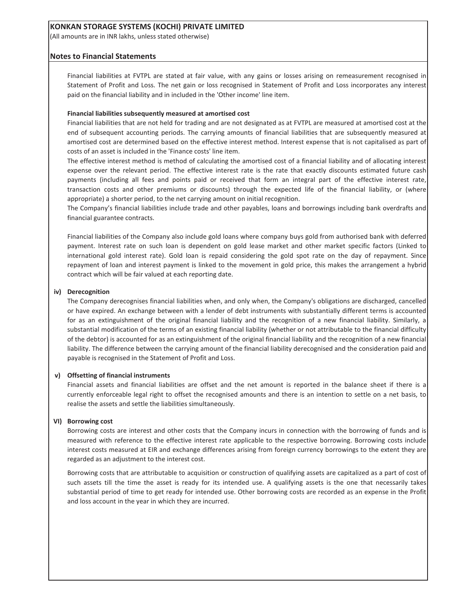(All amounts are in INR lakhs, unless stated otherwise)

### **Notes to Financial Statements**

Financial liabilities at FVTPL are stated at fair value, with any gains or losses arising on remeasurement recognised in Statement of Profit and Loss. The net gain or loss recognised in Statement of Profit and Loss incorporates any interest paid on the financial liability and in included in the 'Other income' line item.

#### **Financial liabilities subsequently measured at amortised cost**

Financial liabilities that are not held for trading and are not designated as at FVTPL are measured at amortised cost at the end of subsequent accounting periods. The carrying amounts of financial liabilities that are subsequently measured at amortised cost are determined based on the effective interest method. Interest expense that is not capitalised as part of costs of an asset is included in the 'Finance costs' line item.

The effective interest method is method of calculating the amortised cost of a financial liability and of allocating interest expense over the relevant period. The effective interest rate is the rate that exactly discounts estimated future cash payments (including all fees and points paid or received that form an integral part of the effective interest rate, transaction costs and other premiums or discounts) through the expected life of the financial liability, or (where appropriate) a shorter period, to the net carrying amount on initial recognition.

The Companyís financial liabilities include trade and other payables, loans and borrowings including bank overdrafts and financial guarantee contracts.

Financial liabilities of the Company also include gold loans where company buys gold from authorised bank with deferred payment. Interest rate on such loan is dependent on gold lease market and other market specific factors (Linked to international gold interest rate). Gold loan is repaid considering the gold spot rate on the day of repayment. Since repayment of loan and interest payment is linked to the movement in gold price, this makes the arrangement a hybrid contract which will be fair valued at each reporting date.

## **iv) Derecognition**

The Company derecognises financial liabilities when, and only when, the Company's obligations are discharged, cancelled or have expired. An exchange between with a lender of debt instruments with substantially different terms is accounted for as an extinguishment of the original financial liability and the recognition of a new financial liability. Similarly, a substantial modification of the terms of an existing financial liability (whether or not attributable to the financial difficulty of the debtor) is accounted for as an extinguishment of the original financial liability and the recognition of a new financial liability. The difference between the carrying amount of the financial liability derecognised and the consideration paid and payable is recognised in the Statement of Profit and Loss.

## **v) Offsetting of financial instruments**

Financial assets and financial liabilities are offset and the net amount is reported in the balance sheet if there is a currently enforceable legal right to offset the recognised amounts and there is an intention to settle on a net basis, to realise the assets and settle the liabilities simultaneously.

#### **VI) Borrowing cost**

Borrowing costs are interest and other costs that the Company incurs in connection with the borrowing of funds and is measured with reference to the effective interest rate applicable to the respective borrowing. Borrowing costs include interest costs measured at EIR and exchange differences arising from foreign currency borrowings to the extent they are regarded as an adjustment to the interest cost.

Borrowing costs that are attributable to acquisition or construction of qualifying assets are capitalized as a part of cost of such assets till the time the asset is ready for its intended use. A qualifying assets is the one that necessarily takes substantial period of time to get ready for intended use. Other borrowing costs are recorded as an expense in the Profit and loss account in the year in which they are incurred.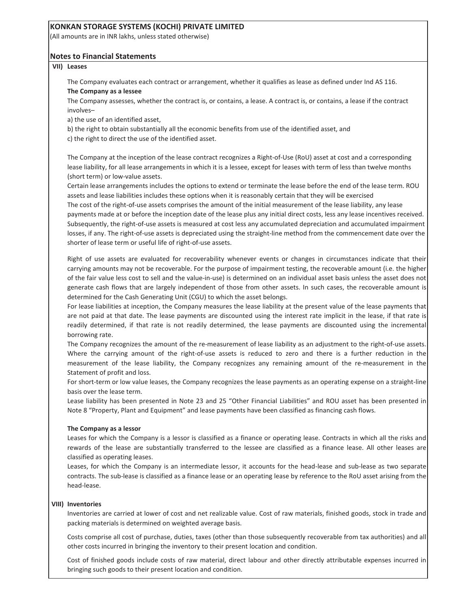(All amounts are in INR lakhs, unless stated otherwise)

## **Notes to Financial Statements**

#### **VII) Leases**

The Company evaluates each contract or arrangement, whether it qualifies as lease as defined under Ind AS 116. **The Company as a lessee**

The Company assesses, whether the contract is, or contains, a lease. A contract is, or contains, a lease if the contract involves-

a) the use of an identified asset,

b) the right to obtain substantially all the economic benefits from use of the identified asset, and c) the right to direct the use of the identified asset.

The Company at the inception of the lease contract recognizes a Right-of-Use (RoU) asset at cost and a corresponding lease liability, for all lease arrangements in which it is a lessee, except for leases with term of less than twelve months (short term) or low-value assets.

Certain lease arrangements includes the options to extend or terminate the lease before the end of the lease term. ROU assets and lease liabilities includes these options when it is reasonably certain that they will be exercised

The cost of the right-of-use assets comprises the amount of the initial measurement of the lease liability, any lease payments made at or before the inception date of the lease plus any initial direct costs, less any lease incentives received. Subsequently, the right-of-use assets is measured at cost less any accumulated depreciation and accumulated impairment losses, if any. The right-of-use assets is depreciated using the straight-line method from the commencement date over the shorter of lease term or useful life of right-of-use assets.

Right of use assets are evaluated for recoverability whenever events or changes in circumstances indicate that their carrying amounts may not be recoverable. For the purpose of impairment testing, the recoverable amount (i.e. the higher of the fair value less cost to sell and the value-in-use) is determined on an individual asset basis unless the asset does not generate cash flows that are largely independent of those from other assets. In such cases, the recoverable amount is determined for the Cash Generating Unit (CGU) to which the asset belongs.

For lease liabilities at inception, the Company measures the lease liability at the present value of the lease payments that are not paid at that date. The lease payments are discounted using the interest rate implicit in the lease, if that rate is readily determined, if that rate is not readily determined, the lease payments are discounted using the incremental borrowing rate.

The Company recognizes the amount of the re-measurement of lease liability as an adjustment to the right-of-use assets. Where the carrying amount of the right-of-use assets is reduced to zero and there is a further reduction in the measurement of the lease liability, the Company recognizes any remaining amount of the re-measurement in the Statement of profit and loss.

For short-term or low value leases, the Company recognizes the lease payments as an operating expense on a straight-line basis over the lease term.

Lease liability has been presented in Note 23 and 25 "Other Financial Liabilities" and ROU asset has been presented in Note 8 "Property, Plant and Equipment" and lease payments have been classified as financing cash flows.

#### **The Company as a lessor**

Leases for which the Company is a lessor is classified as a finance or operating lease. Contracts in which all the risks and rewards of the lease are substantially transferred to the lessee are classified as a finance lease. All other leases are classified as operating leases.

Leases, for which the Company is an intermediate lessor, it accounts for the head-lease and sub-lease as two separate contracts. The sub-lease is classified as a finance lease or an operating lease by reference to the RoU asset arising from the head-lease.

#### **VIII) Inventories**

Inventories are carried at lower of cost and net realizable value. Cost of raw materials, finished goods, stock in trade and packing materials is determined on weighted average basis.

Costs comprise all cost of purchase, duties, taxes (other than those subsequently recoverable from tax authorities) and all other costs incurred in bringing the inventory to their present location and condition.

Cost of finished goods include costs of raw material, direct labour and other directly attributable expenses incurred in bringing such goods to their present location and condition.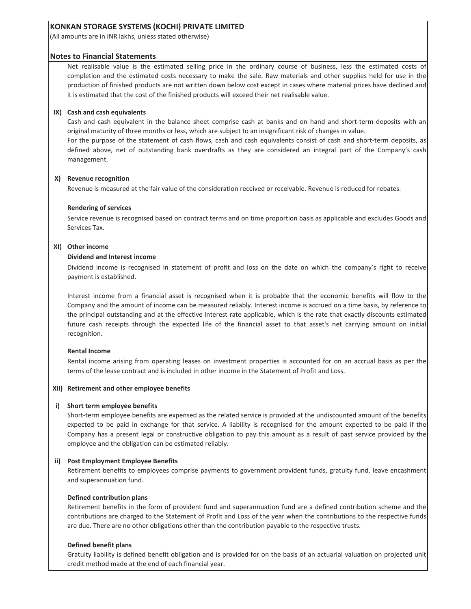(All amounts are in INR lakhs, unless stated otherwise)

## **Notes to Financial Statements**

Net realisable value is the estimated selling price in the ordinary course of business, less the estimated costs of completion and the estimated costs necessary to make the sale. Raw materials and other supplies held for use in the production of finished products are not written down below cost except in cases where material prices have declined and it is estimated that the cost of the finished products will exceed their net realisable value.

## **IX) Cash and cash equivalents**

Cash and cash equivalent in the balance sheet comprise cash at banks and on hand and short-term deposits with an original maturity of three months or less, which are subject to an insignificant risk of changes in value.

For the purpose of the statement of cash flows, cash and cash equivalents consist of cash and short-term deposits, as defined above, net of outstanding bank overdrafts as they are considered an integral part of the Companyís cash management.

## **X) Revenue recognition**

Revenue is measured at the fair value of the consideration received or receivable. Revenue is reduced for rebates.

## **Rendering of services**

Service revenue is recognised based on contract terms and on time proportion basis as applicable and excludes Goods and Services Tax.

#### **XI) Other income**

#### **Dividend and Interest income**

Dividend income is recognised in statement of profit and loss on the date on which the companyís right to receive payment is established.

Interest income from a financial asset is recognised when it is probable that the economic benefits will flow to the Company and the amount of income can be measured reliably. Interest income is accrued on a time basis, by reference to the principal outstanding and at the effective interest rate applicable, which is the rate that exactly discounts estimated future cash receipts through the expected life of the financial asset to that asset's net carrying amount on initial recognition.

## **Rental Income**

Rental income arising from operating leases on investment properties is accounted for on an accrual basis as per the terms of the lease contract and is included in other income in the Statement of Profit and Loss.

## **XII) Retirement and other employee benefits**

## **i) Short term employee benefits**

Short-term employee benefits are expensed as the related service is provided at the undiscounted amount of the benefits expected to be paid in exchange for that service. A liability is recognised for the amount expected to be paid if the Company has a present legal or constructive obligation to pay this amount as a result of past service provided by the employee and the obligation can be estimated reliably.

## **ii) Post Employment Employee Benefits**

Retirement benefits to employees comprise payments to government provident funds, gratuity fund, leave encashment and superannuation fund.

## **Defined contribution plans**

Retirement benefits in the form of provident fund and superannuation fund are a defined contribution scheme and the contributions are charged to the Statement of Profit and Loss of the year when the contributions to the respective funds are due. There are no other obligations other than the contribution payable to the respective trusts.

## **Defined benefit plans**

Gratuity liability is defined benefit obligation and is provided for on the basis of an actuarial valuation on projected unit credit method made at the end of each financial year.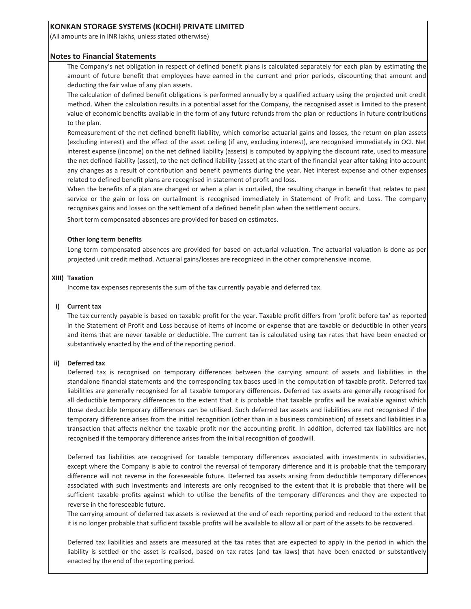(All amounts are in INR lakhs, unless stated otherwise)

## **Notes to Financial Statements**

The Companyís net obligation in respect of defined benefit plans is calculated separately for each plan by estimating the amount of future benefit that employees have earned in the current and prior periods, discounting that amount and deducting the fair value of any plan assets.

The calculation of defined benefit obligations is performed annually by a qualified actuary using the projected unit credit method. When the calculation results in a potential asset for the Company, the recognised asset is limited to the present value of economic benefits available in the form of any future refunds from the plan or reductions in future contributions to the plan.

Remeasurement of the net defined benefit liability, which comprise actuarial gains and losses, the return on plan assets (excluding interest) and the effect of the asset ceiling (if any, excluding interest), are recognised immediately in OCI. Net interest expense (income) on the net defined liability (assets) is computed by applying the discount rate, used to measure the net defined liability (asset), to the net defined liability (asset) at the start of the financial year after taking into account any changes as a result of contribution and benefit payments during the year. Net interest expense and other expenses related to defined benefit plans are recognised in statement of profit and loss.

When the benefits of a plan are changed or when a plan is curtailed, the resulting change in benefit that relates to past service or the gain or loss on curtailment is recognised immediately in Statement of Profit and Loss. The company recognises gains and losses on the settlement of a defined benefit plan when the settlement occurs.

Short term compensated absences are provided for based on estimates.

## **Other long term benefits**

Long term compensated absences are provided for based on actuarial valuation. The actuarial valuation is done as per projected unit credit method. Actuarial gains/losses are recognized in the other comprehensive income.

#### **XIII) Taxation**

Income tax expenses represents the sum of the tax currently payable and deferred tax.

#### **i) Current tax**

The tax currently payable is based on taxable profit for the year. Taxable profit differs from 'profit before tax' as reported in the Statement of Profit and Loss because of items of income or expense that are taxable or deductible in other years and items that are never taxable or deductible. The current tax is calculated using tax rates that have been enacted or substantively enacted by the end of the reporting period.

## **ii) Deferred tax**

Deferred tax is recognised on temporary differences between the carrying amount of assets and liabilities in the standalone financial statements and the corresponding tax bases used in the computation of taxable profit. Deferred tax liabilities are generally recognised for all taxable temporary differences. Deferred tax assets are generally recognised for all deductible temporary differences to the extent that it is probable that taxable profits will be available against which those deductible temporary differences can be utilised. Such deferred tax assets and liabilities are not recognised if the temporary difference arises from the initial recognition (other than in a business combination) of assets and liabilities in a transaction that affects neither the taxable profit nor the accounting profit. In addition, deferred tax liabilities are not recognised if the temporary difference arises from the initial recognition of goodwill.

Deferred tax liabilities are recognised for taxable temporary differences associated with investments in subsidiaries, except where the Company is able to control the reversal of temporary difference and it is probable that the temporary difference will not reverse in the foreseeable future. Deferred tax assets arising from deductible temporary differences associated with such investments and interests are only recognised to the extent that it is probable that there will be sufficient taxable profits against which to utilise the benefits of the temporary differences and they are expected to reverse in the foreseeable future.

The carrying amount of deferred tax assets is reviewed at the end of each reporting period and reduced to the extent that it is no longer probable that sufficient taxable profits will be available to allow all or part of the assets to be recovered.

Deferred tax liabilities and assets are measured at the tax rates that are expected to apply in the period in which the liability is settled or the asset is realised, based on tax rates (and tax laws) that have been enacted or substantively enacted by the end of the reporting period.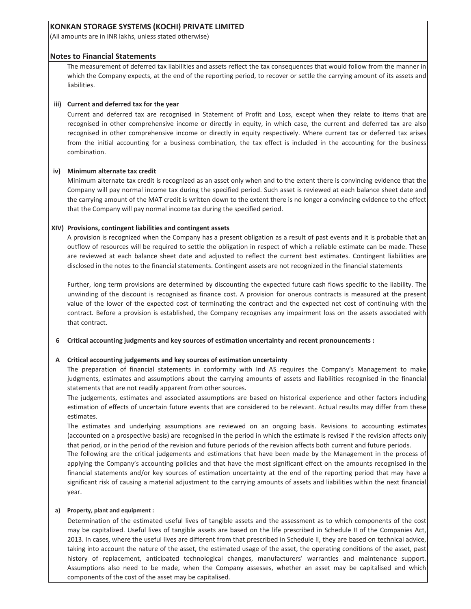(All amounts are in INR lakhs, unless stated otherwise)

## **Notes to Financial Statements**

The measurement of deferred tax liabilities and assets reflect the tax consequences that would follow from the manner in which the Company expects, at the end of the reporting period, to recover or settle the carrying amount of its assets and liabilities.

## **iii) Current and deferred tax for the year**

Current and deferred tax are recognised in Statement of Profit and Loss, except when they relate to items that are recognised in other comprehensive income or directly in equity, in which case, the current and deferred tax are also recognised in other comprehensive income or directly in equity respectively. Where current tax or deferred tax arises from the initial accounting for a business combination, the tax effect is included in the accounting for the business combination.

## **iv) Minimum alternate tax credit**

Minimum alternate tax credit is recognized as an asset only when and to the extent there is convincing evidence that the Company will pay normal income tax during the specified period. Such asset is reviewed at each balance sheet date and the carrying amount of the MAT credit is written down to the extent there is no longer a convincing evidence to the effect that the Company will pay normal income tax during the specified period.

## **XIV) Provisions, contingent liabilities and contingent assets**

A provision is recognized when the Company has a present obligation as a result of past events and it is probable that an outflow of resources will be required to settle the obligation in respect of which a reliable estimate can be made. These are reviewed at each balance sheet date and adjusted to reflect the current best estimates. Contingent liabilities are disclosed in the notes to the financial statements. Contingent assets are not recognized in the financial statements

Further, long term provisions are determined by discounting the expected future cash flows specific to the liability. The unwinding of the discount is recognised as finance cost. A provision for onerous contracts is measured at the present value of the lower of the expected cost of terminating the contract and the expected net cost of continuing with the contract. Before a provision is established, the Company recognises any impairment loss on the assets associated with that contract.

## **6 Critical accounting judgments and key sources of estimation uncertainty and recent pronouncements :**

## **A Critical accounting judgements and key sources of estimation uncertainty**

The preparation of financial statements in conformity with Ind AS requires the Companyís Management to make judgments, estimates and assumptions about the carrying amounts of assets and liabilities recognised in the financial statements that are not readily apparent from other sources.

The judgements, estimates and associated assumptions are based on historical experience and other factors including estimation of effects of uncertain future events that are considered to be relevant. Actual results may differ from these estimates.

The estimates and underlying assumptions are reviewed on an ongoing basis. Revisions to accounting estimates (accounted on a prospective basis) are recognised in the period in which the estimate is revised if the revision affects only that period, or in the period of the revision and future periods of the revision affects both current and future periods.

The following are the critical judgements and estimations that have been made by the Management in the process of applying the Company's accounting policies and that have the most significant effect on the amounts recognised in the financial statements and/or key sources of estimation uncertainty at the end of the reporting period that may have a significant risk of causing a material adjustment to the carrying amounts of assets and liabilities within the next financial year.

## **a) Property, plant and equipment :**

Determination of the estimated useful lives of tangible assets and the assessment as to which components of the cost may be capitalized. Useful lives of tangible assets are based on the life prescribed in Schedule II of the Companies Act, 2013. In cases, where the useful lives are different from that prescribed in Schedule II, they are based on technical advice, taking into account the nature of the asset, the estimated usage of the asset, the operating conditions of the asset, past history of replacement, anticipated technological changes, manufacturers' warranties and maintenance support. Assumptions also need to be made, when the Company assesses, whether an asset may be capitalised and which components of the cost of the asset may be capitalised.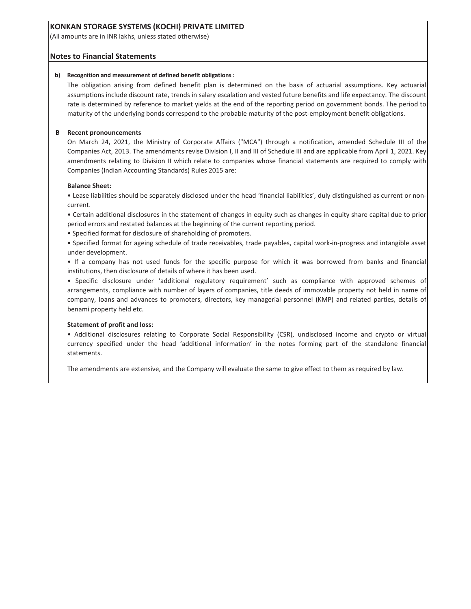(All amounts are in INR lakhs, unless stated otherwise)

## **Notes to Financial Statements**

#### **b) Recognition and measurement of defined benefit obligations :**

The obligation arising from defined benefit plan is determined on the basis of actuarial assumptions. Key actuarial assumptions include discount rate, trends in salary escalation and vested future benefits and life expectancy. The discount rate is determined by reference to market yields at the end of the reporting period on government bonds. The period to maturity of the underlying bonds correspond to the probable maturity of the post-employment benefit obligations.

## **B Recent pronouncements**

On March 24, 2021, the Ministry of Corporate Affairs ("MCA") through a notification, amended Schedule III of the Companies Act, 2013. The amendments revise Division I, II and III of Schedule III and are applicable from April 1, 2021. Key amendments relating to Division II which relate to companies whose financial statements are required to comply with Companies (Indian Accounting Standards) Rules 2015 are:

## **Balance Sheet:**

• Lease liabilities should be separately disclosed under the head 'financial liabilities', duly distinguished as current or noncurrent.

ï Certain additional disclosures in the statement of changes in equity such as changes in equity share capital due to prior period errors and restated balances at the beginning of the current reporting period.

• Specified format for disclosure of shareholding of promoters.

ï Specified format for ageing schedule of trade receivables, trade payables, capital work-in-progress and intangible asset under development.

ï If a company has not used funds for the specific purpose for which it was borrowed from banks and financial institutions, then disclosure of details of where it has been used.

• Specific disclosure under 'additional regulatory requirement' such as compliance with approved schemes of arrangements, compliance with number of layers of companies, title deeds of immovable property not held in name of company, loans and advances to promoters, directors, key managerial personnel (KMP) and related parties, details of benami property held etc.

## **Statement of profit and loss:**

• Additional disclosures relating to Corporate Social Responsibility (CSR), undisclosed income and crypto or virtual currency specified under the head 'additional information' in the notes forming part of the standalone financial statements.

The amendments are extensive, and the Company will evaluate the same to give effect to them as required by law.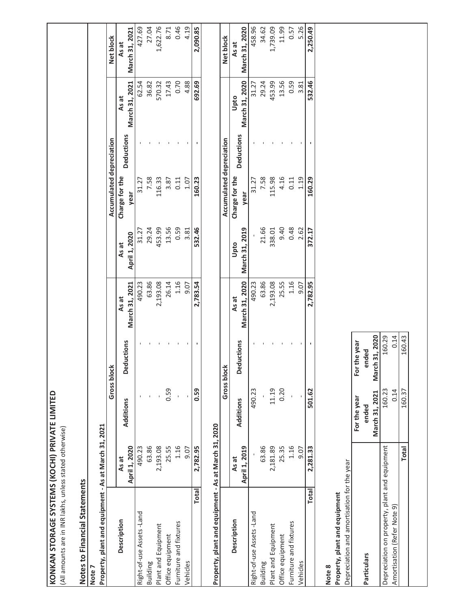| KONKAN STORAGE SYSTEMS (KOCHI) PRIVATE LIMITED                 |                        |                |                    |                         |                        |                          |                   |                        |                         |
|----------------------------------------------------------------|------------------------|----------------|--------------------|-------------------------|------------------------|--------------------------|-------------------|------------------------|-------------------------|
| (All amounts are in INR lakhs, unless stated otherwise)        |                        |                |                    |                         |                        |                          |                   |                        |                         |
| Notes to Financial Statements                                  |                        |                |                    |                         |                        |                          |                   |                        |                         |
| Property, plant and equipment - As at March 31, 2021<br>Note 7 |                        |                |                    |                         |                        |                          |                   |                        |                         |
|                                                                |                        |                | Gross block        |                         |                        | Accumulated depreciation |                   |                        | Net block               |
| Description                                                    | As at                  | Additions      | Deductions         | As at                   | As at                  | Charge for the           | <b>Deductions</b> | As at                  | As at                   |
|                                                                | <b>April 1, 2020</b>   |                |                    | March 31, 2021          | April 1, 2020          | year                     |                   | March 31, 2021         | March 31, 2021          |
| Right-of-use Assets -Land<br>Building                          | 63.86<br>490.23        |                |                    | 63.86<br>490.23         | 29.24<br>31.27         | 7.58<br>31.27            |                   | 36.82<br>62.54         | 27.04<br>427.69         |
| Plant and Equipment                                            | 2,193.08               |                | $\mathbf I$        | 2,193.08                | 453.99                 | 116.33                   | $\mathbf I$       | 570.32                 | 1,622.76                |
| Office equipment                                               | 25.55                  | 0.59           | $\mathbf I$        | 26.14                   | 13.56                  | 3.87                     | ٠                 | 17.43                  | 8.71                    |
| Furniture and fixtures                                         | 1.16                   |                |                    | 1.16                    | 0.59                   | 0.11                     |                   | 0.70                   | 0.46                    |
| Vehicles                                                       | 9.07                   |                |                    | 9.07                    | 3.81                   | 1.07                     |                   | 4.88                   | 4.19                    |
| <b>Total</b>                                                   | 2,782.95               | 0.59           |                    | 2,783.54                | 532.46                 | 160.23                   |                   | 692.69                 | 2,090.85                |
| Property, plant and equipment - As at March 31, 2020           |                        |                |                    |                         |                        |                          |                   |                        |                         |
|                                                                |                        |                | Gross block        |                         |                        | Accumulated depreciation |                   |                        | Net block               |
| Description                                                    | April 1, 2019<br>As at | Additions      | <b>Deductions</b>  | March 31, 2020<br>As at | March 31, 2019<br>Upto | Charge for the<br>year   | Deductions        | March 31, 2020<br>Upto | March 31, 2020<br>As at |
| Right-of-use Assets-Land                                       |                        | 490.23         |                    | 490.23                  |                        | 31.27                    |                   | 31.27                  | 458.96                  |
| Building                                                       | 63.86                  |                |                    | 63.86                   | 21.66                  | 7.58                     | J.                | 29.24                  | 34.62                   |
| Plant and Equipment                                            | 2,181.89               | 11.19          | $\mathbf I$        | 2,193.08                | 338.01                 | 115.98                   | $\mathbf{I}$      | 453.99                 | 1,739.09                |
| Office equipment                                               | 25.35                  | 0.20           | $\blacksquare$     | 25.55                   | 9.40                   | 4.16                     | $\blacksquare$    | 13.56                  | 11.99                   |
| Furniture and fixtures                                         | 1.16                   |                | $\blacksquare$     | 1.16                    | 0.48                   | 0.11                     |                   | 0.59                   | 0.57                    |
| Vehicles                                                       | 0.07                   |                | $\mathbf I$        | 9.07                    | 2.62                   | 1.19                     | $\mathbf{I}$      | 3.81                   | 5.26                    |
| <b>Total</b>                                                   | 2,281.33               | 501.62         | t                  | 2,782.95                | 372.17                 | 160.29                   | $\blacksquare$    | 532.46                 | 2,250.49                |
| Note 8                                                         |                        |                |                    |                         |                        |                          |                   |                        |                         |
| Property, plant and equipment                                  |                        |                |                    |                         |                        |                          |                   |                        |                         |
| Depreciation and amortisation for the year                     |                        |                |                    |                         |                        |                          |                   |                        |                         |
|                                                                |                        | For the year   | For the year       |                         |                        |                          |                   |                        |                         |
| <b>Particulars</b>                                             |                        | ended          | ended              |                         |                        |                          |                   |                        |                         |
|                                                                |                        | March 31, 2021 | ch 31, 2020<br>Nar |                         |                        |                          |                   |                        |                         |
| Depreciation on property, plant and equipment                  |                        | 160.23         | 160.29             |                         |                        |                          |                   |                        |                         |
| Amortisation (Refer Note 9)                                    |                        | 0.14           | 0.14               |                         |                        |                          |                   |                        |                         |
|                                                                | <b>Total</b>           | 160.37         | 160.43             |                         |                        |                          |                   |                        |                         |
|                                                                |                        |                |                    |                         |                        |                          |                   |                        |                         |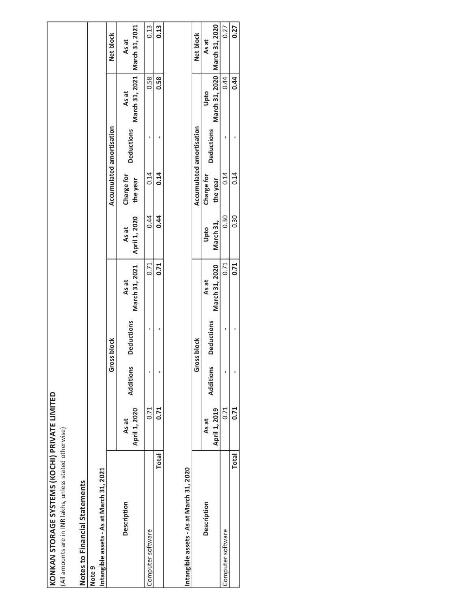| KONKAN STORAGE SYSTEMS (KOCHI) PRIVATE LIMITED<br>(All amounts are in INR lakhs, unless stated otherwise) |                        |           |                   |                         |                        |                        |                          |                        |                                          |
|-----------------------------------------------------------------------------------------------------------|------------------------|-----------|-------------------|-------------------------|------------------------|------------------------|--------------------------|------------------------|------------------------------------------|
| Notes to Financial Statements                                                                             |                        |           |                   |                         |                        |                        |                          |                        |                                          |
| Note 9                                                                                                    |                        |           |                   |                         |                        |                        |                          |                        |                                          |
| Intangible assets - As at March 31, 2021                                                                  |                        |           |                   |                         |                        |                        |                          |                        |                                          |
|                                                                                                           |                        |           | Gross block       |                         |                        |                        | Accumulated amortisation |                        | Net block                                |
| <b>Description</b>                                                                                        | April 1, 2020<br>As at | Additions | <b>Deductions</b> | March 31, 2021<br>As at | April 1, 2020<br>As at | Charge for<br>the year | <b>Deductions</b>        | As at                  | March 31, 2021   March 31, 2021<br>As at |
| Computer software                                                                                         | 0.71                   |           | ı                 | 0.71                    | 0.44                   | 0.14                   | ı                        | 0.58                   | 0.13                                     |
| <b>Total</b>                                                                                              | 0.71                   |           |                   | 0.71                    | 0.44                   | 0.14                   |                          | 0.58                   | 0.13                                     |
| Intangible assets - As at March 31, 2020                                                                  |                        |           |                   |                         |                        |                        |                          |                        |                                          |
|                                                                                                           |                        |           | Gross block       |                         |                        |                        | Accumulated amortisation |                        | Net block                                |
| Description                                                                                               | April 1, 2019<br>As at | Additions | <b>Deductions</b> | March 31, 2020<br>As at | March 31,<br>Upto      | Charge for<br>the year | <b>Deductions</b>        | March 31, 2020<br>Upto | March 31, 2020<br>As at                  |
| Computer software                                                                                         | 0.71                   |           |                   | 0.71                    | 0.30                   | 0.14                   |                          | 0.44                   | 0.27                                     |
| <b>Total</b>                                                                                              | 0.71                   |           |                   | 0.71                    | 0.30                   | 0.14                   |                          | 0.44                   | 0.27                                     |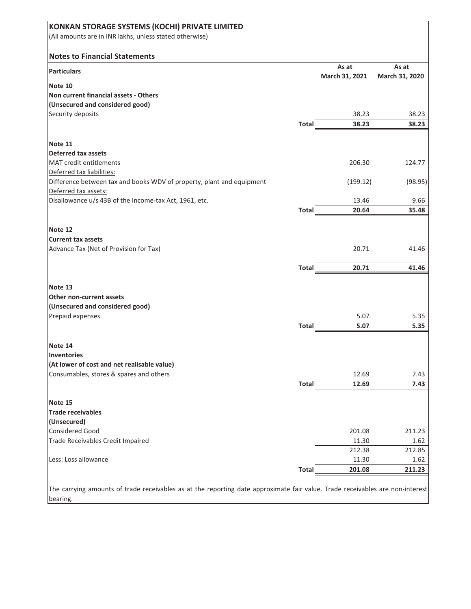(All amounts are in INR lakhs, unless stated otherwise)

## **Notes to Financial Statements**

|                                                                       | As at          | As at          |
|-----------------------------------------------------------------------|----------------|----------------|
| <b>Particulars</b>                                                    | March 31, 2021 | March 31, 2020 |
| Note 10                                                               |                |                |
| Non current financial assets - Others                                 |                |                |
| (Unsecured and considered good)                                       |                |                |
| Security deposits                                                     | 38.23          | 38.23          |
| <b>Total</b>                                                          | 38.23          | 38.23          |
| Note 11                                                               |                |                |
| <b>Deferred tax assets</b>                                            |                |                |
| <b>MAT</b> credit entitlements                                        | 206.30         | 124.77         |
| Deferred tax liabilities:                                             |                |                |
| Difference between tax and books WDV of property, plant and equipment | (199.12)       | (98.95)        |
| Deferred tax assets:                                                  |                |                |
| Disallowance u/s 43B of the Income-tax Act, 1961, etc.                | 13.46          | 9.66           |
| <b>Total</b>                                                          | 20.64          | 35.48          |
| Note 12                                                               |                |                |
| <b>Current tax assets</b>                                             |                |                |
| Advance Tax (Net of Provision for Tax)                                | 20.71          | 41.46          |
| <b>Total</b>                                                          | 20.71          | 41.46          |
|                                                                       |                |                |
| Note 13                                                               |                |                |
| Other non-current assets                                              |                |                |
| (Unsecured and considered good)                                       |                |                |
| Prepaid expenses                                                      | 5.07           | 5.35           |
| <b>Total</b>                                                          | 5.07           | 5.35           |
| Note 14                                                               |                |                |
| <b>Inventories</b>                                                    |                |                |
| (At lower of cost and net realisable value)                           |                |                |
| Consumables, stores & spares and others                               | 12.69          | 7.43           |
| <b>Total</b>                                                          | 12.69          | 7.43           |
| Note 15                                                               |                |                |
| <b>Trade receivables</b>                                              |                |                |
| (Unsecured)                                                           |                |                |
| <b>Considered Good</b>                                                | 201.08         | 211.23         |
| Trade Receivables Credit Impaired                                     | 11.30          | 1.62           |
|                                                                       | 212.38         | 212.85         |
| Less: Loss allowance                                                  | 11.30          | 1.62           |
| <b>Total</b>                                                          | 201.08         | 211.23         |

The carrying amounts of trade receivables as at the reporting date approximate fair value. Trade receivables are non-interest bearing.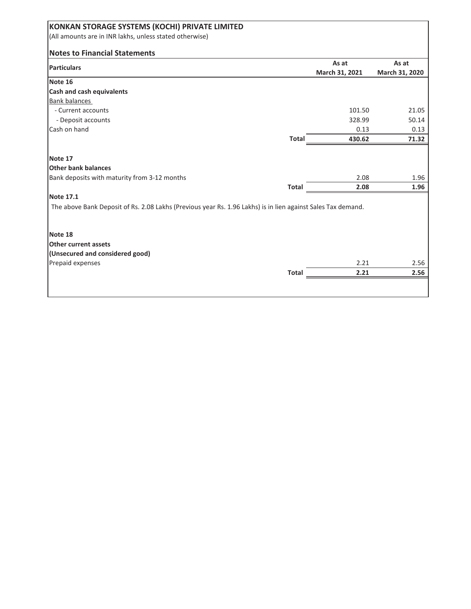| KONKAN STORAGE SYSTEMS (KOCHI) PRIVATE LIMITED                                                               |                |                |
|--------------------------------------------------------------------------------------------------------------|----------------|----------------|
| (All amounts are in INR lakhs, unless stated otherwise)                                                      |                |                |
| <b>Notes to Financial Statements</b>                                                                         |                |                |
| <b>Particulars</b>                                                                                           | As at          | As at          |
|                                                                                                              | March 31, 2021 | March 31, 2020 |
| Note 16                                                                                                      |                |                |
| <b>Cash and cash equivalents</b>                                                                             |                |                |
| <b>Bank balances</b>                                                                                         |                |                |
| - Current accounts                                                                                           | 101.50         | 21.05          |
| - Deposit accounts                                                                                           | 328.99         | 50.14          |
| Cash on hand                                                                                                 | 0.13           | 0.13           |
| <b>Total</b>                                                                                                 | 430.62         | 71.32          |
|                                                                                                              |                |                |
| Note 17                                                                                                      |                |                |
| <b>Other bank balances</b>                                                                                   |                |                |
| Bank deposits with maturity from 3-12 months                                                                 | 2.08           | 1.96           |
| <b>Total</b>                                                                                                 | 2.08           | 1.96           |
| <b>Note 17.1</b>                                                                                             |                |                |
| The above Bank Deposit of Rs. 2.08 Lakhs (Previous year Rs. 1.96 Lakhs) is in lien against Sales Tax demand. |                |                |
|                                                                                                              |                |                |
|                                                                                                              |                |                |
| Note 18                                                                                                      |                |                |
| <b>Other current assets</b>                                                                                  |                |                |
| (Unsecured and considered good)                                                                              |                |                |
| Prepaid expenses                                                                                             | 2.21           | 2.56           |
| <b>Total</b>                                                                                                 | 2.21           | 2.56           |
|                                                                                                              |                |                |
|                                                                                                              |                |                |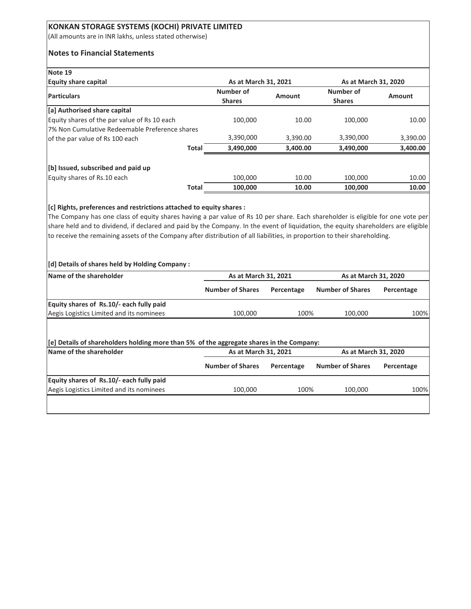(All amounts are in INR lakhs, unless stated otherwise)

## **Notes to Financial Statements**

| Note 19                                        |                      |          |                      |          |
|------------------------------------------------|----------------------|----------|----------------------|----------|
| <b>Equity share capital</b>                    | As at March 31, 2021 |          | As at March 31, 2020 |          |
| <b>Particulars</b>                             | Number of            |          | Number of            |          |
|                                                | <b>Shares</b>        | Amount   | <b>Shares</b>        | Amount   |
| [a] Authorised share capital                   |                      |          |                      |          |
| Equity shares of the par value of Rs 10 each   | 100.000              | 10.00    | 100.000              | 10.00    |
| 7% Non Cumulative Redeemable Preference shares |                      |          |                      |          |
| of the par value of Rs 100 each                | 3,390,000            | 3,390.00 | 3,390,000            | 3,390.00 |
| <b>Total</b>                                   | 3,490,000            | 3,400.00 | 3,490,000            | 3,400.00 |
| [b] Issued, subscribed and paid up             |                      |          |                      |          |
| Equity shares of Rs.10 each                    | 100.000              | 10.00    | 100.000              | 10.00    |
| <b>Total</b>                                   | 100,000              | 10.00    | 100,000              | 10.00    |

## **[c] Rights, preferences and restrictions attached to equity shares :**

The Company has one class of equity shares having a par value of Rs 10 per share. Each shareholder is eligible for one vote per share held and to dividend, if declared and paid by the Company. In the event of liquidation, the equity shareholders are eligible to receive the remaining assets of the Company after distribution of all liabilities, in proportion to their shareholding.

## **[d] Details of shares held by Holding Company :**

| Name of the shareholder<br>As at March 31, 2021                                                                     |                         |            | As at March 31, 2020    |            |
|---------------------------------------------------------------------------------------------------------------------|-------------------------|------------|-------------------------|------------|
|                                                                                                                     | <b>Number of Shares</b> | Percentage | <b>Number of Shares</b> | Percentage |
| Equity shares of Rs.10/- each fully paid                                                                            |                         |            |                         |            |
| Aegis Logistics Limited and its nominees                                                                            | 100,000                 | 100%       | 100,000                 | 100%       |
|                                                                                                                     |                         |            |                         |            |
|                                                                                                                     | As at March 31, 2021    |            | As at March 31, 2020    |            |
| [e] Details of shareholders holding more than 5% of the aggregate shares in the Company:<br>Name of the shareholder | <b>Number of Shares</b> | Percentage | <b>Number of Shares</b> | Percentage |
| Equity shares of Rs.10/- each fully paid                                                                            |                         |            |                         |            |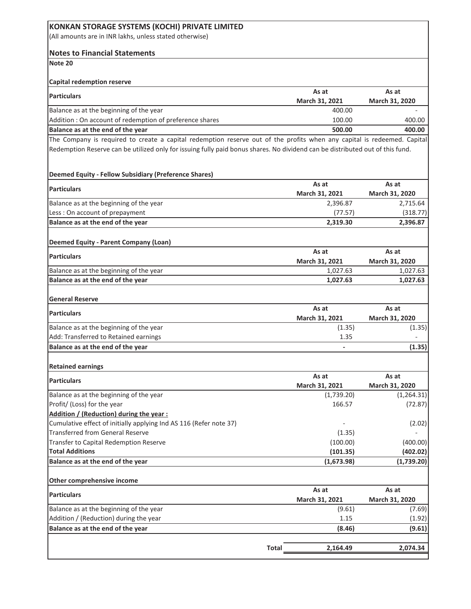| <b>KONKAN STORAGE SYSTEMS (KOCHI) PRIVATE LIMITED</b>                                                                                                                                                                                                    |              |                            |                            |
|----------------------------------------------------------------------------------------------------------------------------------------------------------------------------------------------------------------------------------------------------------|--------------|----------------------------|----------------------------|
| (All amounts are in INR lakhs, unless stated otherwise)                                                                                                                                                                                                  |              |                            |                            |
|                                                                                                                                                                                                                                                          |              |                            |                            |
| <b>Notes to Financial Statements</b>                                                                                                                                                                                                                     |              |                            |                            |
| Note 20                                                                                                                                                                                                                                                  |              |                            |                            |
| Capital redemption reserve                                                                                                                                                                                                                               |              |                            |                            |
|                                                                                                                                                                                                                                                          |              | As at                      | As at                      |
| <b>Particulars</b>                                                                                                                                                                                                                                       |              | March 31, 2021             | March 31, 2020             |
| Balance as at the beginning of the year                                                                                                                                                                                                                  |              | 400.00                     |                            |
| Addition : On account of redemption of preference shares                                                                                                                                                                                                 |              | 100.00                     | 400.00                     |
| Balance as at the end of the year                                                                                                                                                                                                                        |              | 500.00                     | 400.00                     |
| The Company is required to create a capital redemption reserve out of the profits when any capital is redeemed. Capital<br>Redemption Reserve can be utilized only for issuing fully paid bonus shares. No dividend can be distributed out of this fund. |              |                            |                            |
|                                                                                                                                                                                                                                                          |              |                            |                            |
| <b>Deemed Equity - Fellow Subsidiary (Preference Shares)</b>                                                                                                                                                                                             |              |                            |                            |
| <b>Particulars</b>                                                                                                                                                                                                                                       |              | As at                      | As at                      |
| Balance as at the beginning of the year                                                                                                                                                                                                                  |              | March 31, 2021<br>2,396.87 | March 31, 2020<br>2,715.64 |
| Less: On account of prepayment                                                                                                                                                                                                                           |              | (77.57)                    | (318.77)                   |
| Balance as at the end of the year                                                                                                                                                                                                                        |              | 2,319.30                   | 2,396.87                   |
|                                                                                                                                                                                                                                                          |              |                            |                            |
| <b>Deemed Equity - Parent Company (Loan)</b>                                                                                                                                                                                                             |              |                            |                            |
| <b>Particulars</b>                                                                                                                                                                                                                                       |              | As at                      | As at                      |
|                                                                                                                                                                                                                                                          |              | March 31, 2021             | March 31, 2020             |
| Balance as at the beginning of the year                                                                                                                                                                                                                  |              | 1,027.63                   | 1,027.63                   |
| Balance as at the end of the year                                                                                                                                                                                                                        |              | 1,027.63                   | 1,027.63                   |
| <b>General Reserve</b>                                                                                                                                                                                                                                   |              |                            |                            |
|                                                                                                                                                                                                                                                          |              | As at                      | As at                      |
| <b>Particulars</b>                                                                                                                                                                                                                                       |              | March 31, 2021             | March 31, 2020             |
| Balance as at the beginning of the year                                                                                                                                                                                                                  |              | (1.35)                     | (1.35)                     |
| Add: Transferred to Retained earnings                                                                                                                                                                                                                    |              | 1.35                       |                            |
| Balance as at the end of the year                                                                                                                                                                                                                        |              |                            | (1.35)                     |
|                                                                                                                                                                                                                                                          |              |                            |                            |
| <b>Retained earnings</b>                                                                                                                                                                                                                                 |              | As at                      | As at                      |
| <b>Particulars</b>                                                                                                                                                                                                                                       |              | March 31, 2021             | March 31, 2020             |
| Balance as at the beginning of the year                                                                                                                                                                                                                  |              | (1,739.20)                 | (1, 264.31)                |
| Profit/ (Loss) for the year                                                                                                                                                                                                                              |              | 166.57                     | (72.87)                    |
| Addition / (Reduction) during the year :                                                                                                                                                                                                                 |              |                            |                            |
| Cumulative effect of initially applying Ind AS 116 (Refer note 37)                                                                                                                                                                                       |              |                            | (2.02)                     |
| <b>Transferred from General Reserve</b>                                                                                                                                                                                                                  |              | (1.35)                     |                            |
| Transfer to Capital Redemption Reserve                                                                                                                                                                                                                   |              | (100.00)                   | (400.00)                   |
| <b>Total Additions</b>                                                                                                                                                                                                                                   |              | (101.35)                   | (402.02)                   |
| Balance as at the end of the year                                                                                                                                                                                                                        |              | (1,673.98)                 | (1,739.20)                 |
| Other comprehensive income                                                                                                                                                                                                                               |              |                            |                            |
|                                                                                                                                                                                                                                                          |              | As at                      | As at                      |
| <b>Particulars</b>                                                                                                                                                                                                                                       |              | March 31, 2021             | March 31, 2020             |
| Balance as at the beginning of the year                                                                                                                                                                                                                  |              | (9.61)                     | (7.69)                     |
| Addition / (Reduction) during the year                                                                                                                                                                                                                   |              | 1.15                       | (1.92)                     |
| Balance as at the end of the year                                                                                                                                                                                                                        |              | (8.46)                     | (9.61)                     |
|                                                                                                                                                                                                                                                          |              |                            |                            |
|                                                                                                                                                                                                                                                          | <b>Total</b> | 2,164.49                   | 2,074.34                   |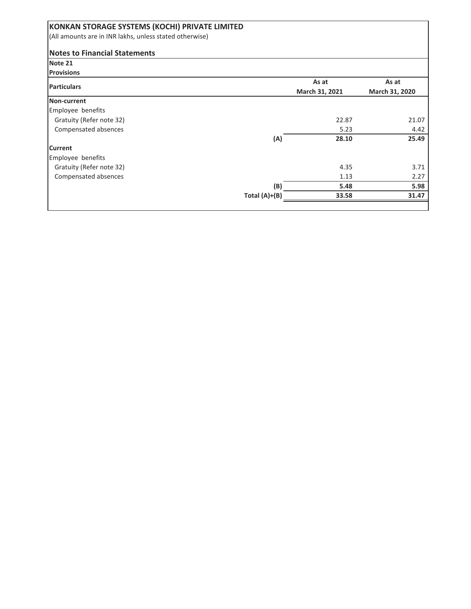| KONKAN STORAGE SYSTEMS (KOCHI) PRIVATE LIMITED          |                 |                         |                         |
|---------------------------------------------------------|-----------------|-------------------------|-------------------------|
| (All amounts are in INR lakhs, unless stated otherwise) |                 |                         |                         |
| <b>Notes to Financial Statements</b>                    |                 |                         |                         |
| Note 21                                                 |                 |                         |                         |
| <b>Provisions</b>                                       |                 |                         |                         |
| <b>Particulars</b>                                      |                 | As at<br>March 31, 2021 | As at<br>March 31, 2020 |
| Non-current                                             |                 |                         |                         |
| Employee benefits                                       |                 |                         |                         |
| Gratuity (Refer note 32)                                |                 | 22.87                   | 21.07                   |
| Compensated absences                                    |                 | 5.23                    | 4.42                    |
|                                                         | (A)             | 28.10                   | 25.49                   |
| <b>Current</b>                                          |                 |                         |                         |
| Employee benefits                                       |                 |                         |                         |
| Gratuity (Refer note 32)                                |                 | 4.35                    | 3.71                    |
| Compensated absences                                    |                 | 1.13                    | 2.27                    |
|                                                         | (B)             | 5.48                    | 5.98                    |
|                                                         | Total $(A)+(B)$ | 33.58                   | 31.47                   |
|                                                         |                 |                         |                         |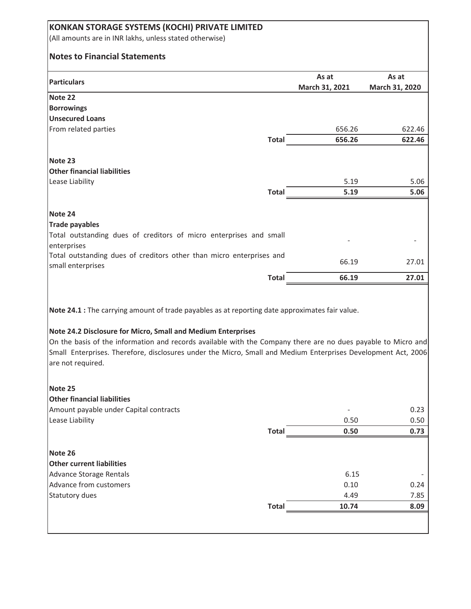(All amounts are in INR lakhs, unless stated otherwise)

## **Notes to Financial Statements**

| <b>Particulars</b>                                                                        | As at          | As at          |
|-------------------------------------------------------------------------------------------|----------------|----------------|
|                                                                                           | March 31, 2021 | March 31, 2020 |
| Note 22                                                                                   |                |                |
| <b>Borrowings</b>                                                                         |                |                |
| <b>Unsecured Loans</b>                                                                    |                |                |
| From related parties                                                                      | 656.26         | 622.46         |
| <b>Total</b>                                                                              | 656.26         | 622.46         |
| Note 23                                                                                   |                |                |
| <b>Other financial liabilities</b>                                                        |                |                |
| Lease Liability                                                                           | 5.19           | 5.06           |
| <b>Total</b>                                                                              | 5.19           | 5.06           |
| Note 24                                                                                   |                |                |
| <b>Trade payables</b>                                                                     |                |                |
| Total outstanding dues of creditors of micro enterprises and small                        |                |                |
| enterprises                                                                               |                |                |
| Total outstanding dues of creditors other than micro enterprises and<br>small enterprises | 66.19          | 27.01          |
| <b>Total</b>                                                                              | 66.19          | 27.01          |
|                                                                                           |                |                |

**Note 24.1 :** The carrying amount of trade payables as at reporting date approximates fair value.

## **Note 24.2 Disclosure for Micro, Small and Medium Enterprises**

On the basis of the information and records available with the Company there are no dues payable to Micro and Small Enterprises. Therefore, disclosures under the Micro, Small and Medium Enterprises Development Act, 2006 are not required.

| Note 25                                |              |       |      |
|----------------------------------------|--------------|-------|------|
| <b>Other financial liabilities</b>     |              |       |      |
| Amount payable under Capital contracts |              |       | 0.23 |
| Lease Liability                        |              | 0.50  | 0.50 |
|                                        | <b>Total</b> | 0.50  | 0.73 |
|                                        |              |       |      |
| Note 26                                |              |       |      |
| <b>Other current liabilities</b>       |              |       |      |
| Advance Storage Rentals                |              | 6.15  |      |
| Advance from customers                 |              | 0.10  | 0.24 |
| Statutory dues                         |              | 4.49  | 7.85 |
|                                        | <b>Total</b> | 10.74 | 8.09 |
|                                        |              |       |      |
|                                        |              |       |      |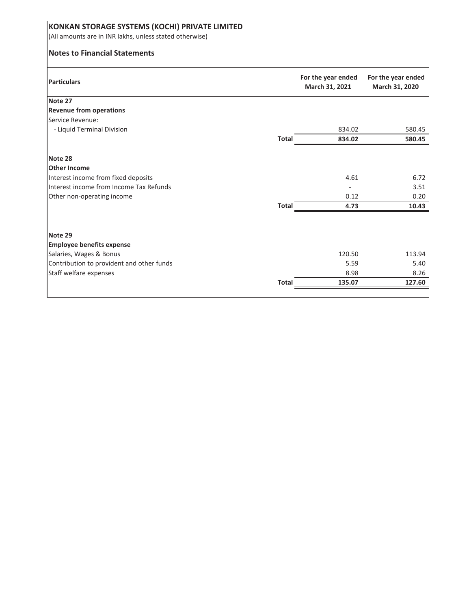(All amounts are in INR lakhs, unless stated otherwise)

## **Notes to Financial Statements**

| <b>Particulars</b>                                                  |              | For the year ended<br>March 31, 2021 | For the year ended<br>March 31, 2020 |
|---------------------------------------------------------------------|--------------|--------------------------------------|--------------------------------------|
| Note 27                                                             |              |                                      |                                      |
| <b>Revenue from operations</b>                                      |              |                                      |                                      |
| Service Revenue:                                                    |              |                                      |                                      |
| - Liquid Terminal Division                                          |              | 834.02                               | 580.45                               |
|                                                                     | <b>Total</b> | 834.02                               | 580.45                               |
| Note 28                                                             |              |                                      |                                      |
| <b>Other Income</b>                                                 |              |                                      |                                      |
| Interest income from fixed deposits                                 |              | 4.61                                 | 6.72                                 |
| Interest income from Income Tax Refunds                             |              |                                      | 3.51                                 |
| Other non-operating income                                          |              | 0.12                                 | 0.20                                 |
|                                                                     | <b>Total</b> | 4.73                                 | 10.43                                |
| Note 29                                                             |              |                                      |                                      |
| <b>Employee benefits expense</b>                                    |              |                                      |                                      |
| Salaries, Wages & Bonus                                             |              | 120.50                               | 113.94                               |
|                                                                     |              | 5.59                                 | 5.40                                 |
| Contribution to provident and other funds<br>Staff welfare expenses |              | 8.98                                 | 8.26                                 |
|                                                                     | <b>Total</b> | 135.07                               | 127.60                               |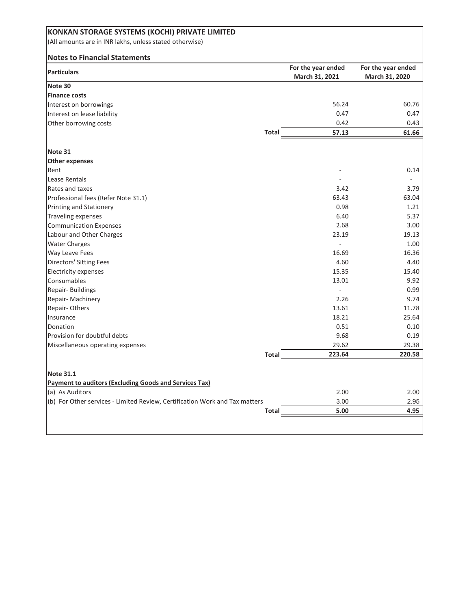| KONKAN STORAGE SYSTEMS (KOCHI) PRIVATE LIMITED                              |              |                                      |                                      |
|-----------------------------------------------------------------------------|--------------|--------------------------------------|--------------------------------------|
| (All amounts are in INR lakhs, unless stated otherwise)                     |              |                                      |                                      |
| <b>Notes to Financial Statements</b>                                        |              |                                      |                                      |
| <b>Particulars</b>                                                          |              | For the year ended<br>March 31, 2021 | For the year ended<br>March 31, 2020 |
| Note 30                                                                     |              |                                      |                                      |
| <b>Finance costs</b>                                                        |              |                                      |                                      |
| Interest on borrowings                                                      |              | 56.24                                | 60.76                                |
| Interest on lease liability                                                 |              | 0.47                                 | 0.47                                 |
| Other borrowing costs                                                       |              | 0.42                                 | 0.43                                 |
|                                                                             | Total        | 57.13                                | 61.66                                |
| Note 31                                                                     |              |                                      |                                      |
| <b>Other expenses</b>                                                       |              |                                      |                                      |
| Rent                                                                        |              |                                      | 0.14                                 |
| Lease Rentals                                                               |              |                                      |                                      |
| Rates and taxes                                                             |              | 3.42                                 | 3.79                                 |
| Professional fees (Refer Note 31.1)                                         |              | 63.43                                | 63.04                                |
| <b>Printing and Stationery</b>                                              |              | 0.98                                 | 1.21                                 |
| <b>Traveling expenses</b>                                                   |              | 6.40                                 | 5.37                                 |
| <b>Communication Expenses</b>                                               |              | 2.68                                 | 3.00                                 |
| Labour and Other Charges                                                    |              | 23.19                                | 19.13                                |
| <b>Water Charges</b>                                                        |              |                                      | 1.00                                 |
| Way Leave Fees                                                              |              | 16.69                                | 16.36                                |
| <b>Directors' Sitting Fees</b>                                              |              | 4.60                                 | 4.40                                 |
| <b>Electricity expenses</b>                                                 |              | 15.35                                | 15.40                                |
| Consumables                                                                 |              | 13.01                                | 9.92                                 |
| Repair- Buildings                                                           |              |                                      | 0.99                                 |
| Repair- Machinery                                                           |              | 2.26                                 | 9.74                                 |
| Repair-Others                                                               |              | 13.61                                | 11.78                                |
| Insurance                                                                   |              | 18.21                                | 25.64                                |
| Donation                                                                    |              | 0.51                                 | 0.10                                 |
| Provision for doubtful debts                                                |              | 9.68                                 | 0.19                                 |
| Miscellaneous operating expenses                                            |              | 29.62                                | 29.38                                |
|                                                                             | <b>Total</b> | 223.64                               | 220.58                               |
| <b>Note 31.1</b>                                                            |              |                                      |                                      |
| <b>Payment to auditors (Excluding Goods and Services Tax)</b>               |              |                                      |                                      |
| (a) As Auditors                                                             |              | 2.00                                 | 2.00                                 |
| (b) For Other services - Limited Review, Certification Work and Tax matters |              | 3.00                                 | 2.95                                 |
|                                                                             | Total        | 5.00                                 | 4.95                                 |
|                                                                             |              |                                      |                                      |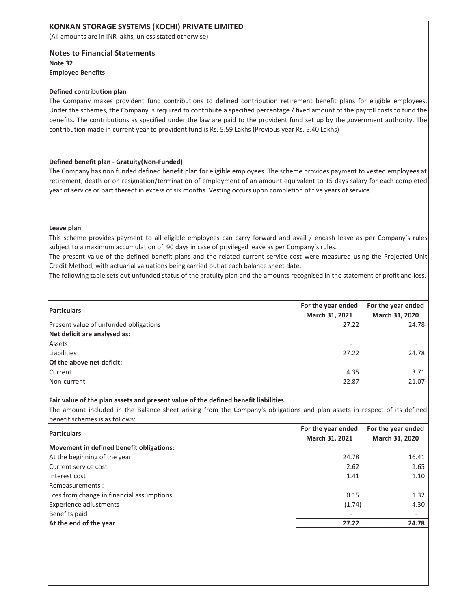(All amounts are in INR lakhs, unless stated otherwise)

## **Notes to Financial Statements**

**Note 32 Employee Benefits**

#### **Defined contribution plan**

The Company makes provident fund contributions to defined contribution retirement benefit plans for eligible employees. Under the schemes, the Company is required to contribute a specified percentage / fixed amount of the payroll costs to fund the benefits. The contributions as specified under the law are paid to the provident fund set up by the government authority. The contribution made in current year to provident fund is Rs. 5.59 Lakhs (Previous year Rs. 5.40 Lakhs)

## **Defined benefit plan - Gratuity(Non-Funded)**

The Company has non funded defined benefit plan for eligible employees. The scheme provides payment to vested employees at retirement, death or on resignation/termination of employment of an amount equivalent to 15 days salary for each completed year of service or part thereof in excess of six months. Vesting occurs upon completion of five years of service.

## **Leave plan**

This scheme provides payment to all eligible employees can carry forward and avail / encash leave as per Companyís rules subject to a maximum accumulation of 90 days in case of privileged leave as per Company's rules.

The present value of the defined benefit plans and the related current service cost were measured using the Projected Unit Credit Method, with actuarial valuations being carried out at each balance sheet date.

The following table sets out unfunded status of the gratuity plan and the amounts recognised in the statement of profit and loss.

| <b>Particulars</b>                    | For the year ended | For the year ended |
|---------------------------------------|--------------------|--------------------|
|                                       | March 31, 2021     | March 31, 2020     |
| Present value of unfunded obligations | 27.22              | 24.78              |
| Net deficit are analysed as:          |                    |                    |
| Assets                                |                    |                    |
| Liabilities                           | 27.22              | 24.78              |
| Of the above net deficit:             |                    |                    |
| Current                               | 4.35               | 3.71               |
| Non-current                           | 22.87              | 21.07              |
|                                       |                    |                    |

#### **Fair value of the plan assets and present value of the defined benefit liabilities**

The amount included in the Balance sheet arising from the Company's obligations and plan assets in respect of its defined benefit schemes is as follows:

| <b>Particulars</b>                        | For the year ended | For the year ended |
|-------------------------------------------|--------------------|--------------------|
|                                           | March 31, 2021     | March 31, 2020     |
| Movement in defined benefit obligations:  |                    |                    |
| At the beginning of the year              | 24.78              | 16.41              |
| Current service cost                      | 2.62               | 1.65               |
| Interest cost                             | 1.41               | 1.10               |
| <b>IRemeasurements:</b>                   |                    |                    |
| Loss from change in financial assumptions | 0.15               | 1.32               |
| <b>Experience adjustments</b>             | (1.74)             | 4.30               |
| Benefits paid                             |                    |                    |
| At the end of the year                    | 27.22              | 24.78              |
|                                           |                    |                    |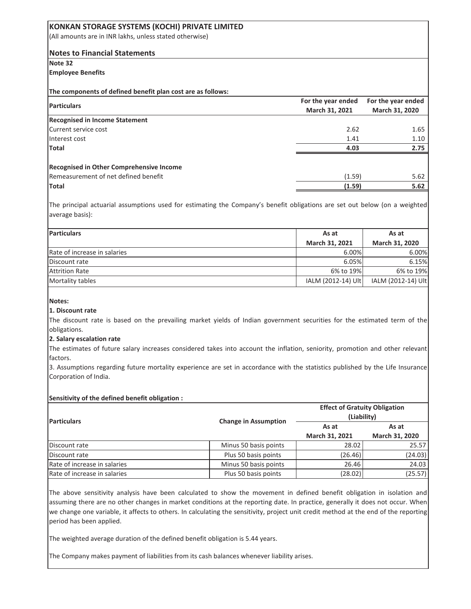(All amounts are in INR lakhs, unless stated otherwise)

## **Notes to Financial Statements**

**Note 32**

## **Employee Benefits**

## **The components of defined benefit plan cost are as follows:**

|                                          | For the year ended | For the year ended |
|------------------------------------------|--------------------|--------------------|
| <b>Particulars</b>                       | March 31, 2021     | March 31, 2020     |
| <b>Recognised in Income Statement</b>    |                    |                    |
| Current service cost                     | 2.62               | 1.65               |
| Interest cost                            | 1.41               | 1.10               |
| <b>Total</b>                             | 4.03               | 2.75               |
| Recognised in Other Comprehensive Income |                    |                    |
| Remeasurement of net defined benefit     | (1.59)             | 5.62               |
| Total                                    | (1.59)             | 5.62               |

The principal actuarial assumptions used for estimating the Companyís benefit obligations are set out below (on a weighted average basis):

| <b>Particulars</b>           | As at              | As at                 |
|------------------------------|--------------------|-----------------------|
|                              | March 31, 2021     | <b>March 31, 2020</b> |
| Rate of increase in salaries | 6.00%              | 6.00%                 |
| Discount rate                | 6.05%              | 6.15%                 |
| <b>Attrition Rate</b>        | 6% to 19%          | 6% to 19%             |
| <b>Mortality tables</b>      | IALM (2012-14) Ult | IALM (2012-14) Ult    |

#### **Notes:**

#### **1. Discount rate**

The discount rate is based on the prevailing market yields of Indian government securities for the estimated term of the obligations.

## **2. Salary escalation rate**

The estimates of future salary increases considered takes into account the inflation, seniority, promotion and other relevant factors.

3. Assumptions regarding future mortality experience are set in accordance with the statistics published by the Life Insurance Corporation of India.

## **Sensitivity of the defined benefit obligation :**

| <b>Particulars</b>           | <b>Change in Assumption</b> | <b>Effect of Gratuity Obligation</b><br>(Liability) |                |
|------------------------------|-----------------------------|-----------------------------------------------------|----------------|
|                              |                             | As at                                               | As at          |
|                              |                             | March 31, 2021                                      | March 31, 2020 |
| Discount rate                | Minus 50 basis points       | 28.02                                               | 25.57          |
| Discount rate                | Plus 50 basis points        | (26.46)                                             | (24.03)        |
| Rate of increase in salaries | Minus 50 basis points       | 26.46                                               | 24.03          |
| Rate of increase in salaries | Plus 50 basis points        | (28.02)                                             | (25.57)        |

The above sensitivity analysis have been calculated to show the movement in defined benefit obligation in isolation and assuming there are no other changes in market conditions at the reporting date. In practice, generally it does not occur. When we change one variable, it affects to others. In calculating the sensitivity, project unit credit method at the end of the reporting period has been applied.

The weighted average duration of the defined benefit obligation is 5.44 years.

The Company makes payment of liabilities from its cash balances whenever liability arises.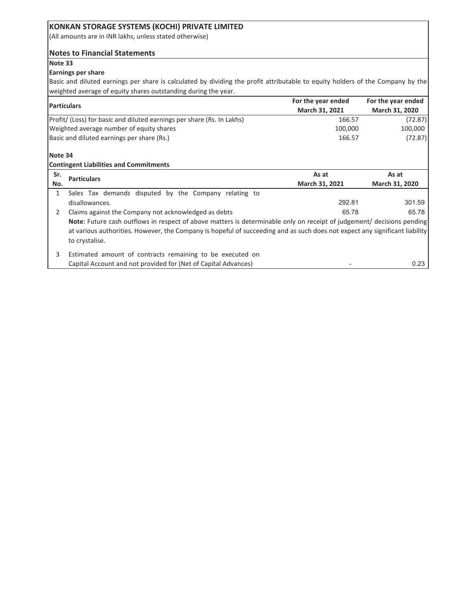(All amounts are in INR lakhs, unless stated otherwise)

## **Notes to Financial Statements**

## **Note 33**

## **Earnings per share**

Basic and diluted earnings per share is calculated by dividing the profit attributable to equity holders of the Company by the weighted average of equity shares outstanding during the year.

| <b>Particulars</b> |                                                                                                                                                                                                                                                                         | For the year ended | For the year ended |
|--------------------|-------------------------------------------------------------------------------------------------------------------------------------------------------------------------------------------------------------------------------------------------------------------------|--------------------|--------------------|
|                    |                                                                                                                                                                                                                                                                         | March 31, 2021     | March 31, 2020     |
|                    | Profit/ (Loss) for basic and diluted earnings per share (Rs. In Lakhs)                                                                                                                                                                                                  | 166.57             | (72.87)            |
|                    | Weighted average number of equity shares                                                                                                                                                                                                                                | 100,000            | 100,000            |
|                    | Basic and diluted earnings per share (Rs.)                                                                                                                                                                                                                              | 166.57             | (72.87)            |
| Note 34            |                                                                                                                                                                                                                                                                         |                    |                    |
|                    | <b>Contingent Liabilities and Commitments</b>                                                                                                                                                                                                                           |                    |                    |
| Sr.                | <b>Particulars</b>                                                                                                                                                                                                                                                      | As at              | As at              |
| No.                |                                                                                                                                                                                                                                                                         | March 31, 2021     | March 31, 2020     |
| 1                  | Sales Tax demands disputed by the Company relating to                                                                                                                                                                                                                   |                    |                    |
|                    | disallowances.                                                                                                                                                                                                                                                          | 292.81             | 301.59             |
| 2                  | Claims against the Company not acknowledged as debts                                                                                                                                                                                                                    | 65.78              | 65.78              |
|                    | Note: Future cash outflows in respect of above matters is determinable only on receipt of judgement/ decisions pending<br>at various authorities. However, the Company is hopeful of succeeding and as such does not expect any significant liability<br>to crystalise. |                    |                    |
| 3                  | Estimated amount of contracts remaining to be executed on                                                                                                                                                                                                               |                    |                    |
|                    | Capital Account and not provided for (Net of Capital Advances)                                                                                                                                                                                                          |                    | 0.23               |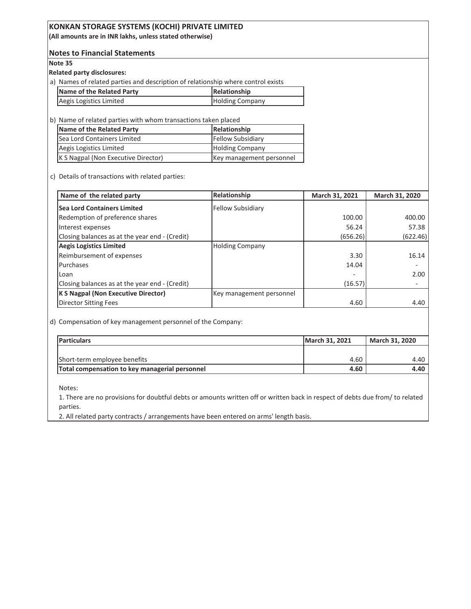**(All amounts are in INR lakhs, unless stated otherwise)**

## **Notes to Financial Statements**

## **Note 35**

**Related party disclosures:**

a) Names of related parties and description of relationship where control exists

| Name of the Related Party | Relationship           |
|---------------------------|------------------------|
| Aegis Logistics Limited   | <b>Holding Company</b> |

b) Name of related parties with whom transactions taken placed

| Name of the Related Party           | Relationship             |
|-------------------------------------|--------------------------|
| Sea Lord Containers Limited         | <b>Fellow Subsidiary</b> |
| Aegis Logistics Limited             | <b>Holding Company</b>   |
| K S Nagpal (Non Executive Director) | Key management personnel |

c) Details of transactions with related parties:

| Name of the related party                      | Relationship             | March 31, 2021 | March 31, 2020 |
|------------------------------------------------|--------------------------|----------------|----------------|
| <b>Sea Lord Containers Limited</b>             | <b>Fellow Subsidiary</b> |                |                |
| Redemption of preference shares                |                          | 100.00         | 400.00         |
| Interest expenses                              |                          | 56.24          | 57.38          |
| Closing balances as at the year end - (Credit) |                          | (656.26)       | (622.46)       |
| <b>Aegis Logistics Limited</b>                 | <b>Holding Company</b>   |                |                |
| Reimbursement of expenses                      |                          | 3.30           | 16.14          |
| Purchases                                      |                          | 14.04          |                |
| Loan                                           |                          |                | 2.00           |
| Closing balances as at the year end - (Credit) |                          | (16.57)        |                |
| K S Nagpal (Non Executive Director)            | Key management personnel |                |                |
| <b>Director Sitting Fees</b>                   |                          | 4.60           | 4.40           |

d) Compensation of key management personnel of the Company:

| <b>Particulars</b>                             | <b>March 31, 2021</b> | <b>March 31, 2020</b> |
|------------------------------------------------|-----------------------|-----------------------|
|                                                |                       |                       |
| Short-term employee benefits                   | 4.60                  | 4.40                  |
| Total compensation to key managerial personnel | 4.60                  | 4.40                  |

Notes:

1. There are no provisions for doubtful debts or amounts written off or written back in respect of debts due from/ to related parties.

2. All related party contracts / arrangements have been entered on arms' length basis.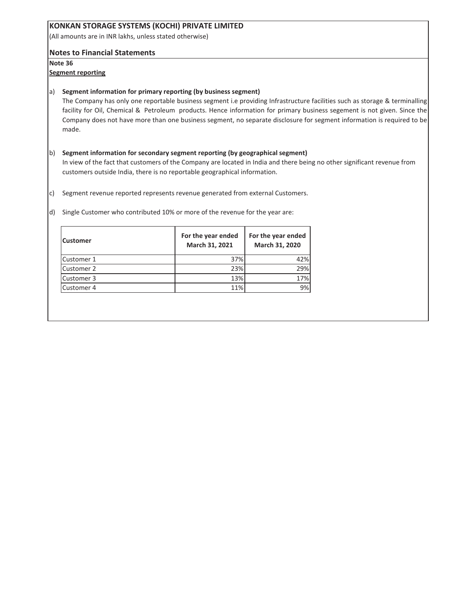(All amounts are in INR lakhs, unless stated otherwise)

## **Notes to Financial Statements**

## **Note 36**

**Segment reporting**

## a) **Segment information for primary reporting (by business segment)**

The Company has only one reportable business segment i.e providing Infrastructure facilities such as storage & terminalling facility for Oil, Chemical & Petroleum products. Hence information for primary business segement is not given. Since the Company does not have more than one business segment, no separate disclosure for segment information is required to be made.

## b) **Segment information for secondary segment reporting (by geographical segment)**

In view of the fact that customers of the Company are located in India and there being no other significant revenue from customers outside India, there is no reportable geographical information.

c) Segment revenue reported represents revenue generated from external Customers.

## d) Single Customer who contributed 10% or more of the revenue for the year are:

| l Customer        | For the year ended<br>March 31, 2021 | For the year ended<br>March 31, 2020 |  |  |
|-------------------|--------------------------------------|--------------------------------------|--|--|
| Customer 1        | 37%                                  | 42%                                  |  |  |
| <b>Customer 2</b> | 23%                                  | 29%                                  |  |  |
| Customer 3        | 13%                                  | 17%                                  |  |  |
| Customer 4        | 11%                                  | 9%                                   |  |  |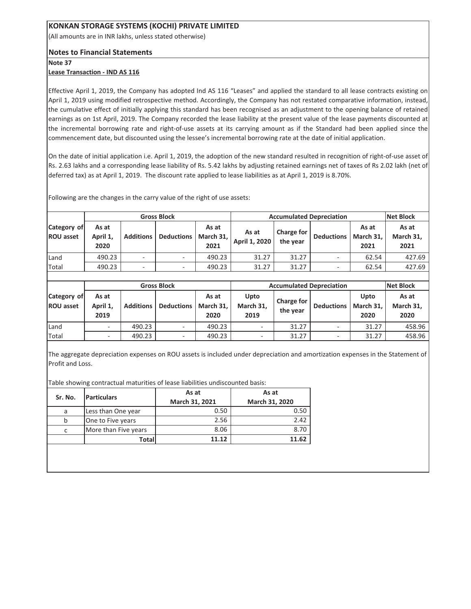(All amounts are in INR lakhs, unless stated otherwise)

## **Notes to Financial Statements**

**Note 37**

Г

#### **Lease Transaction - IND AS 116**

Effective April 1, 2019, the Company has adopted Ind AS 116 "Leases" and applied the standard to all lease contracts existing on April 1, 2019 using modified retrospective method. Accordingly, the Company has not restated comparative information, instead, the cumulative effect of initially applying this standard has been recognised as an adjustment to the opening balance of retained earnings as on 1st April, 2019. The Company recorded the lease liability at the present value of the lease payments discounted at the incremental borrowing rate and right-of-use assets at its carrying amount as if the Standard had been applied since the commencement date, but discounted using the lessee's incremental borrowing rate at the date of initial application.

On the date of initial application i.e. April 1, 2019, the adoption of the new standard resulted in recognition of right-of-use asset of Rs. 2.63 lakhs and a corresponding lease liability of Rs. 5.42 lakhs by adjusting retained earnings net of taxes of Rs 2.02 lakh (net of deferred tax) as at April 1, 2019. The discount rate applied to lease liabilities as at April 1, 2019 is 8.70%.

Following are the changes in the carry value of the right of use assets:

|                                 | <b>Gross Block</b>        |                          |                   |                            | <b>Accumulated Depreciation</b> |                        |                          |                            | <b>Net Block</b>           |
|---------------------------------|---------------------------|--------------------------|-------------------|----------------------------|---------------------------------|------------------------|--------------------------|----------------------------|----------------------------|
| Category of<br><b>ROU</b> asset | As at<br>April 1,<br>2020 | <b>Additions</b>         | <b>Deductions</b> | As at<br>March 31.<br>2021 | As at<br>April 1, 2020          | Charge for<br>the year | <b>Deductions</b>        | As at<br>March 31,<br>2021 | As at<br>March 31,<br>2021 |
| Land                            | 490.23                    |                          |                   | 490.23                     | 31.27                           | 31.27                  |                          | 62.54                      | 427.69                     |
| Total                           | 490.23                    | $\overline{\phantom{0}}$ |                   | 490.23                     | 31.27                           | 31.27                  | $\overline{\phantom{0}}$ | 62.54                      | 427.69                     |

|                                 | <b>Gross Block</b>        |                  |                          |                            | <b>Accumulated Depreciation</b> |                        |                   |                           | <b>Net Block</b>           |
|---------------------------------|---------------------------|------------------|--------------------------|----------------------------|---------------------------------|------------------------|-------------------|---------------------------|----------------------------|
| Category of<br><b>ROU</b> asset | As at<br>April 1.<br>2019 | <b>Additions</b> | <b>Deductions</b>        | As at<br>March 31.<br>2020 | Upto<br>March 31,<br>2019       | Charge for<br>the year | <b>Deductions</b> | Upto<br>March 31.<br>2020 | As at<br>March 31,<br>2020 |
| Land                            |                           | 490.23           |                          | 490.23                     |                                 | 31.27                  |                   | 31.27                     | 458.96                     |
| Total                           | $\overline{\phantom{a}}$  | 490.23           | $\overline{\phantom{0}}$ | 490.23                     | -                               | 31.27                  |                   | 31.27                     | 458.96                     |

The aggregate depreciation expenses on ROU assets is included under depreciation and amortization expenses in the Statement of Profit and Loss.

Table showing contractual maturities of lease liabilities undiscounted basis:

| Sr. No. |                      | As at          | As at          |  |  |
|---------|----------------------|----------------|----------------|--|--|
|         | <b>Particulars</b>   | March 31, 2021 | March 31, 2020 |  |  |
| a       | Less than One year   | 0.50           | 0.50           |  |  |
|         | One to Five years    | 2.56           | 2.42           |  |  |
|         | More than Five years | 8.06           |                |  |  |
|         | Total                | 11.12          | 11.62          |  |  |
|         |                      |                |                |  |  |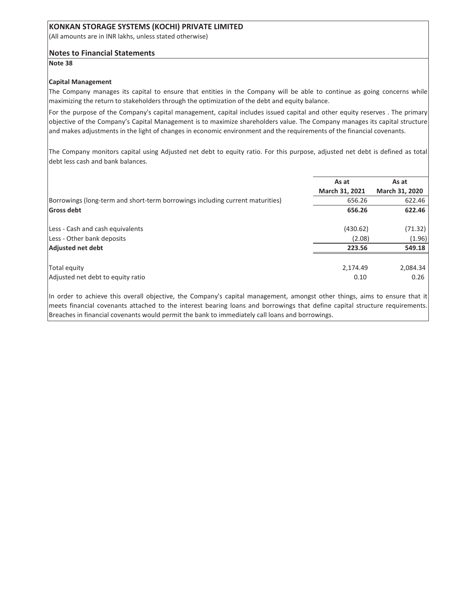(All amounts are in INR lakhs, unless stated otherwise)

## **Notes to Financial Statements**

## **Note 38**

#### **Capital Management**

The Company manages its capital to ensure that entities in the Company will be able to continue as going concerns while maximizing the return to stakeholders through the optimization of the debt and equity balance.

For the purpose of the Company's capital management, capital includes issued capital and other equity reserves . The primary objective of the Companyís Capital Management is to maximize shareholders value. The Company manages its capital structure and makes adjustments in the light of changes in economic environment and the requirements of the financial covenants.

The Company monitors capital using Adjusted net debt to equity ratio. For this purpose, adjusted net debt is defined as total debt less cash and bank balances.

|                                                                               | As at          | As at          |
|-------------------------------------------------------------------------------|----------------|----------------|
|                                                                               | March 31, 2021 | March 31, 2020 |
| Borrowings (long-term and short-term borrowings including current maturities) | 656.26         | 622.46         |
| <b>Gross debt</b>                                                             | 656.26         | 622.46         |
| Less - Cash and cash equivalents                                              | (430.62)       | (71.32)        |
| Less - Other bank deposits                                                    | (2.08)         | (1.96)         |
| Adjusted net debt                                                             | 223.56         | 549.18         |
|                                                                               |                |                |
| Total equity                                                                  | 2,174.49       | 2,084.34       |
| Adjusted net debt to equity ratio                                             | 0.10           | 0.26           |
|                                                                               |                |                |

In order to achieve this overall objective, the Company's capital management, amongst other things, aims to ensure that it meets financial covenants attached to the interest bearing loans and borrowings that define capital structure requirements. Breaches in financial covenants would permit the bank to immediately call loans and borrowings.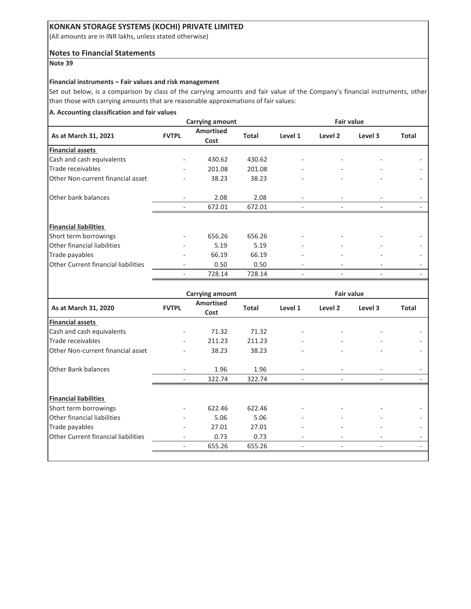(All amounts are in INR lakhs, unless stated otherwise)

## **Notes to Financial Statements**

## **Note 39**

## Financial instruments - Fair values and risk management

Set out below, is a comparison by class of the carrying amounts and fair value of the Company's financial instruments, other than those with carrying amounts that are reasonable approximations of fair values:

## **A. Accounting classification and fair values**

| As at March 31, 2021<br><b>Financial assets</b><br>Cash and cash equivalents<br>Trade receivables<br>Other bank balances |                          | <b>Carrying amount</b>   |              | <b>Fair value</b> |         |                   |       |
|--------------------------------------------------------------------------------------------------------------------------|--------------------------|--------------------------|--------------|-------------------|---------|-------------------|-------|
|                                                                                                                          | <b>FVTPL</b>             | <b>Amortised</b><br>Cost | <b>Total</b> | Level 1           | Level 2 | Level 3           | Total |
|                                                                                                                          |                          |                          |              |                   |         |                   |       |
|                                                                                                                          |                          | 430.62                   | 430.62       |                   |         |                   |       |
|                                                                                                                          | $\overline{\phantom{0}}$ | 201.08                   | 201.08       |                   |         |                   |       |
| Other Non-current financial asset                                                                                        |                          | 38.23                    | 38.23        |                   |         |                   |       |
|                                                                                                                          |                          | 2.08                     | 2.08         |                   |         |                   |       |
|                                                                                                                          |                          | 672.01                   | 672.01       |                   |         |                   |       |
| <b>Financial liabilities</b>                                                                                             |                          |                          |              |                   |         |                   |       |
| Short term borrowings                                                                                                    |                          | 656.26                   | 656.26       |                   |         |                   |       |
| Other financial liabilities                                                                                              |                          | 5.19                     | 5.19         |                   |         |                   |       |
| Trade payables                                                                                                           |                          | 66.19                    | 66.19        |                   |         |                   |       |
| <b>Other Current financial liabilities</b>                                                                               |                          | 0.50                     | 0.50         |                   |         |                   |       |
|                                                                                                                          |                          | 728.14                   | 728.14       |                   |         |                   |       |
|                                                                                                                          |                          | <b>Carrying amount</b>   |              |                   |         | <b>Fair value</b> |       |

|                                     |              | <b>Carrying amount</b>   |              | Fair value                   |         |                          |       |
|-------------------------------------|--------------|--------------------------|--------------|------------------------------|---------|--------------------------|-------|
| As at March 31, 2020                | <b>FVTPL</b> | <b>Amortised</b><br>Cost | <b>Total</b> |                              | Level 2 | Level 3                  | Total |
| <b>Financial assets</b>             |              |                          |              |                              |         |                          |       |
| Cash and cash equivalents           |              | 71.32                    | 71.32        |                              |         |                          |       |
| Trade receivables                   | ۰.           | 211.23                   | 211.23       |                              |         | ٠                        |       |
| Other Non-current financial asset   |              | 38.23                    | 38.23        |                              |         | $\overline{a}$           |       |
| <b>Other Bank balances</b>          |              | 1.96                     | 1.96         |                              |         |                          |       |
|                                     |              | 322.74                   | 322.74       |                              |         |                          |       |
| <b>Financial liabilities</b>        |              |                          |              |                              |         |                          |       |
| Short term borrowings               |              | 622.46                   | 622.46       |                              |         |                          |       |
| Other financial liabilities         |              | 5.06                     | 5.06         |                              |         |                          |       |
| Trade payables                      |              | 27.01                    | 27.01        |                              |         | $\overline{\phantom{0}}$ |       |
| Other Current financial liabilities |              | 0.73                     | 0.73         | $\qquad \qquad \blacksquare$ |         | $\overline{\phantom{0}}$ |       |
|                                     |              | 655.26                   | 655.26       |                              |         |                          |       |
|                                     |              |                          |              |                              |         |                          |       |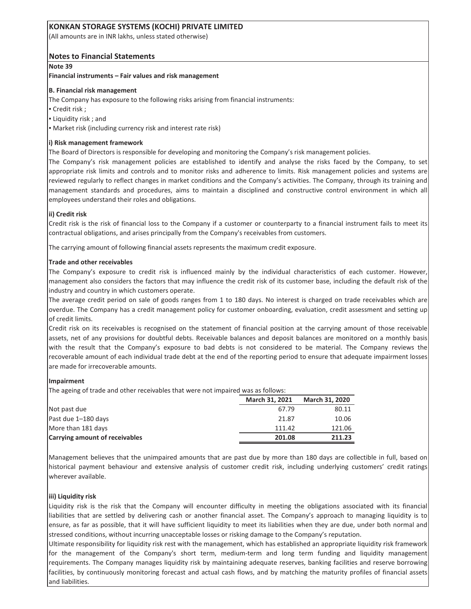(All amounts are in INR lakhs, unless stated otherwise)

## **Notes to Financial Statements**

#### **Note 39**

Financial instruments - Fair values and risk management

#### **B. Financial risk management**

The Company has exposure to the following risks arising from financial instruments:

! Credit risk ;

**Example 1 Liquidity risk**; and

. Market risk (including currency risk and interest rate risk)

#### **i) Risk management framework**

The Board of Directors is responsible for developing and monitoring the Companyís risk management policies.

The Companyís risk management policies are established to identify and analyse the risks faced by the Company, to set appropriate risk limits and controls and to monitor risks and adherence to limits. Risk management policies and systems are reviewed regularly to reflect changes in market conditions and the Companyís activities. The Company, through its training and management standards and procedures, aims to maintain a disciplined and constructive control environment in which all employees understand their roles and obligations.

## **ii) Credit risk**

Credit risk is the risk of financial loss to the Company if a customer or counterparty to a financial instrument fails to meet its contractual obligations, and arises principally from the Company's receivables from customers.

The carrying amount of following financial assets represents the maximum credit exposure.

#### **Trade and other receivables**

The Companyís exposure to credit risk is influenced mainly by the individual characteristics of each customer. However, management also considers the factors that may influence the credit risk of its customer base, including the default risk of the industry and country in which customers operate.

The average credit period on sale of goods ranges from 1 to 180 days. No interest is charged on trade receivables which are overdue. The Company has a credit management policy for customer onboarding, evaluation, credit assessment and setting up of credit limits.

Credit risk on its receivables is recognised on the statement of financial position at the carrying amount of those receivable assets, net of any provisions for doubtful debts. Receivable balances and deposit balances are monitored on a monthly basis with the result that the Company's exposure to bad debts is not considered to be material. The Company reviews the recoverable amount of each individual trade debt at the end of the reporting period to ensure that adequate impairment losses are made for irrecoverable amounts.

## **Impairment**

The ageing of trade and other receivables that were not impaired was as follows:

|                                       | March 31, 2021 | March 31, 2020 |
|---------------------------------------|----------------|----------------|
| Not past due                          | 67.79          | 80.11          |
| Past due 1-180 days                   | 21.87          | 10.06          |
| More than 181 days                    | 111.42         | 121.06         |
| <b>Carrying amount of receivables</b> | 201.08         | 211.23         |

Management believes that the unimpaired amounts that are past due by more than 180 days are collectible in full, based on historical payment behaviour and extensive analysis of customer credit risk, including underlying customers' credit ratings wherever available.

## **iii) Liquidity risk**

Liquidity risk is the risk that the Company will encounter difficulty in meeting the obligations associated with its financial liabilities that are settled by delivering cash or another financial asset. The Company's approach to managing liquidity is to ensure, as far as possible, that it will have sufficient liquidity to meet its liabilities when they are due, under both normal and stressed conditions, without incurring unacceptable losses or risking damage to the Company's reputation.

Ultimate responsibility for liquidity risk rest with the management, which has established an appropriate liquidity risk framework for the management of the Company's short term, medium-term and long term funding and liquidity management requirements. The Company manages liquidity risk by maintaining adequate reserves, banking facilities and reserve borrowing facilities, by continuously monitoring forecast and actual cash flows, and by matching the maturity profiles of financial assets and liabilities.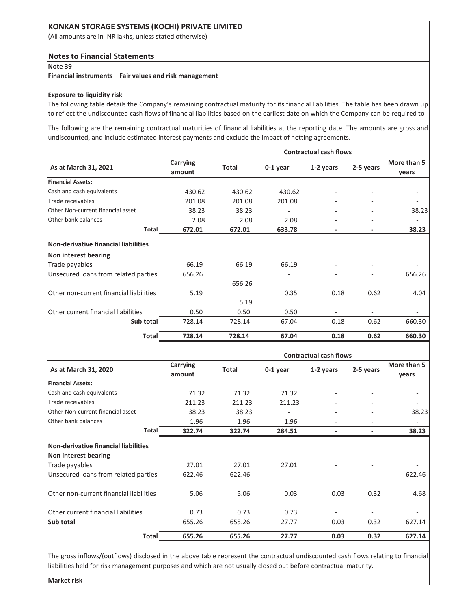(All amounts are in INR lakhs, unless stated otherwise)

## **Notes to Financial Statements**

#### **Note 39**

Financial instruments - Fair values and risk management

## **Exposure to liquidity risk**

The following table details the Companyís remaining contractual maturity for its financial liabilities. The table has been drawn up to reflect the undiscounted cash flows of financial liabilities based on the earliest date on which the Company can be required to

The following are the remaining contractual maturities of financial liabilities at the reporting date. The amounts are gross and undiscounted, and include estimated interest payments and exclude the impact of netting agreements.

|                                         | <b>Contractual cash flows</b> |              |            |           |                          |                      |  |  |
|-----------------------------------------|-------------------------------|--------------|------------|-----------|--------------------------|----------------------|--|--|
| As at March 31, 2021                    | <b>Carrying</b><br>amount     | <b>Total</b> | $0-1$ year | 1-2 years | 2-5 years                | More than 5<br>years |  |  |
| <b>Financial Assets:</b>                |                               |              |            |           |                          |                      |  |  |
| Cash and cash equivalents               | 430.62                        | 430.62       | 430.62     |           |                          |                      |  |  |
| Trade receivables                       | 201.08                        | 201.08       | 201.08     |           |                          |                      |  |  |
| Other Non-current financial asset       | 38.23                         | 38.23        |            |           |                          | 38.23                |  |  |
| Other bank balances                     | 2.08                          | 2.08         | 2.08       | ٠         |                          | ٠                    |  |  |
| Total                                   | 672.01                        | 672.01       | 633.78     |           |                          | 38.23                |  |  |
| Non-derivative financial liabilities    |                               |              |            |           |                          |                      |  |  |
| Non interest bearing                    |                               |              |            |           |                          |                      |  |  |
| Trade payables                          | 66.19                         | 66.19        | 66.19      |           |                          |                      |  |  |
| Unsecured loans from related parties    | 656.26                        |              |            |           | $\overline{\phantom{a}}$ | 656.26               |  |  |
|                                         |                               | 656.26       |            |           |                          |                      |  |  |
| Other non-current financial liabilities | 5.19                          |              | 0.35       | 0.18      | 0.62                     | 4.04                 |  |  |
|                                         |                               | 5.19         |            |           |                          |                      |  |  |
| Other current financial liabilities     | 0.50                          | 0.50         | 0.50       | ٠         | $\overline{\phantom{a}}$ |                      |  |  |
| Sub total                               | 728.14                        | 728.14       | 67.04      | 0.18      | 0.62                     | 660.30               |  |  |
| <b>Total</b>                            | 728.14                        | 728.14       | 67.04      | 0.18      | 0.62                     | 660.30               |  |  |

|                                          |                           | <b>Contractual cash flows</b> |                          |                   |           |                          |
|------------------------------------------|---------------------------|-------------------------------|--------------------------|-------------------|-----------|--------------------------|
| As at March 31, 2020                     | <b>Carrying</b><br>amount | <b>Total</b>                  | $0-1$ year               | 1-2 years         | 2-5 years | More than 5<br>years     |
| <b>Financial Assets:</b>                 |                           |                               |                          |                   |           |                          |
| Cash and cash equivalents                | 71.32                     | 71.32                         | 71.32                    | ٠                 |           | $\overline{\phantom{a}}$ |
| Trade receivables                        | 211.23                    | 211.23                        | 211.23                   | ٠                 |           | $\overline{\phantom{a}}$ |
| <b>Other Non-current financial asset</b> | 38.23                     | 38.23                         | $\overline{\phantom{a}}$ | $\qquad \qquad -$ |           | 38.23                    |
| Other bank balances                      | 1.96                      | 1.96                          | 1.96                     | ۰                 |           |                          |
| Total                                    | 322.74                    | 322.74                        | 284.51                   | $\blacksquare$    |           | 38.23                    |
| Non-derivative financial liabilities     |                           |                               |                          |                   |           |                          |
| Non interest bearing                     |                           |                               |                          |                   |           |                          |
| Trade payables                           | 27.01                     | 27.01                         | 27.01                    |                   |           |                          |
| Unsecured loans from related parties     | 622.46                    | 622.46                        |                          |                   |           | 622.46                   |
| Other non-current financial liabilities  | 5.06                      | 5.06                          | 0.03                     | 0.03              | 0.32      | 4.68                     |
| Other current financial liabilities      | 0.73                      | 0.73                          | 0.73                     |                   |           | $\overline{\phantom{a}}$ |
| Sub total                                | 655.26                    | 655.26                        | 27.77                    | 0.03              | 0.32      | 627.14                   |
| <b>Total</b>                             | 655.26                    | 655.26                        | 27.77                    | 0.03              | 0.32      | 627.14                   |

The gross inflows/(outflows) disclosed in the above table represent the contractual undiscounted cash flows relating to financial liabilities held for risk management purposes and which are not usually closed out before contractual maturity.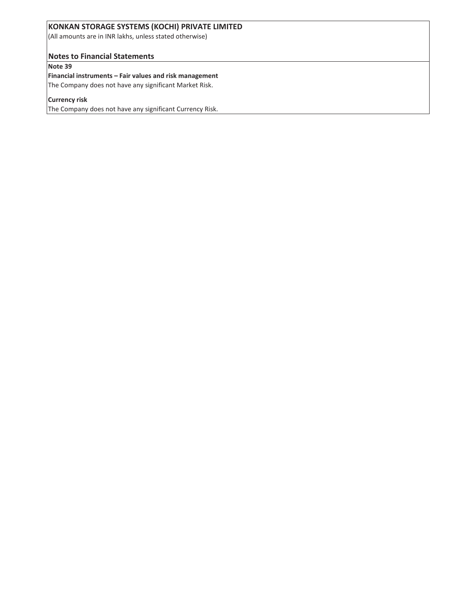(All amounts are in INR lakhs, unless stated otherwise)

## **Notes to Financial Statements**

## **Note 39**

## **Financial instruments - Fair values and risk management**

The Company does not have any significant Market Risk.

**Currency risk**

The Company does not have any significant Currency Risk.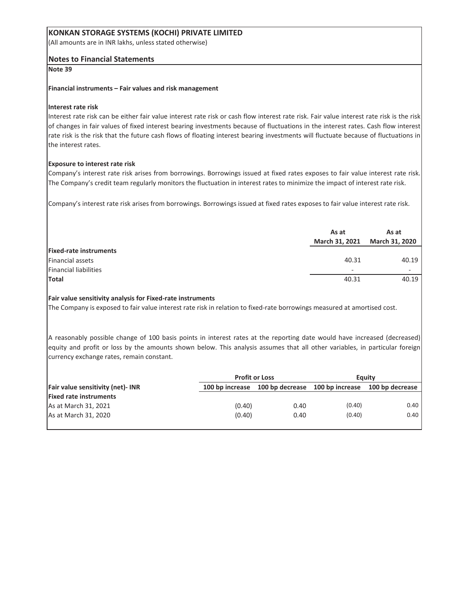(All amounts are in INR lakhs, unless stated otherwise)

## **Notes to Financial Statements**

## **Note 39**

#### Financial instruments - Fair values and risk management

## **Interest rate risk**

Interest rate risk can be either fair value interest rate risk or cash flow interest rate risk. Fair value interest rate risk is the risk of changes in fair values of fixed interest bearing investments because of fluctuations in the interest rates. Cash flow interest rate risk is the risk that the future cash flows of floating interest bearing investments will fluctuate because of fluctuations in the interest rates.

#### **Exposure to interest rate risk**

Companyís interest rate risk arises from borrowings. Borrowings issued at fixed rates exposes to fair value interest rate risk. The Company's credit team regularly monitors the fluctuation in interest rates to minimize the impact of interest rate risk.

Companyís interest rate risk arises from borrowings. Borrowings issued at fixed rates exposes to fair value interest rate risk.

|                               | As at                 | As at                    |  |
|-------------------------------|-----------------------|--------------------------|--|
|                               | <b>March 31, 2021</b> | <b>March 31, 2020</b>    |  |
| <b>Fixed-rate instruments</b> |                       |                          |  |
| Financial assets              | 40.31                 | 40.19                    |  |
| Financial liabilities         |                       | $\overline{\phantom{a}}$ |  |
| <b>Total</b>                  | 40.31                 | 40.19                    |  |

#### **Fair value sensitivity analysis for Fixed-rate instruments**

The Company is exposed to fair value interest rate risk in relation to fixed-rate borrowings measured at amortised cost.

A reasonably possible change of 100 basis points in interest rates at the reporting date would have increased (decreased) equity and profit or loss by the amounts shown below. This analysis assumes that all other variables, in particular foreign currency exchange rates, remain constant.

|                                          |                 | <b>Profit or Loss</b>           | Eauity |                 |
|------------------------------------------|-----------------|---------------------------------|--------|-----------------|
| <b>Fair value sensitivity (net)- INR</b> | 100 bp increase | 100 bp decrease 100 bp increase |        | 100 bp decrease |
| <b>Fixed rate instruments</b>            |                 |                                 |        |                 |
| As at March 31, 2021                     | (0.40)          | 0.40                            | (0.40) | 0.40            |
| As at March 31, 2020                     | (0.40)          | 0.40                            | (0.40) | 0.40            |
|                                          |                 |                                 |        |                 |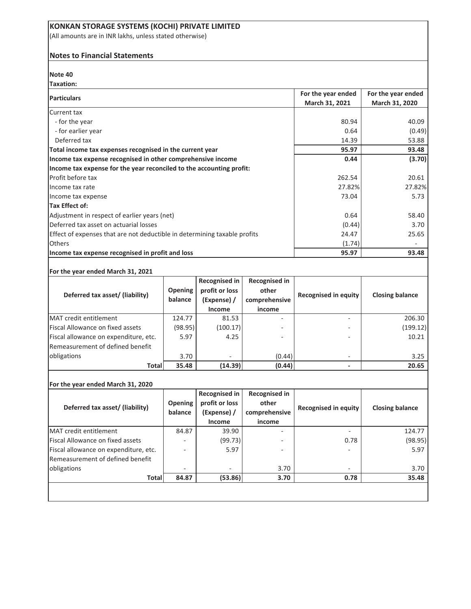(All amounts are in INR lakhs, unless stated otherwise)

## **Notes to Financial Statements**

**Note 40**

| <b>Taxation:</b>                                                          |                    |                    |
|---------------------------------------------------------------------------|--------------------|--------------------|
| <b>Particulars</b>                                                        | For the year ended | For the year ended |
|                                                                           | March 31, 2021     | March 31, 2020     |
| Current tax                                                               |                    |                    |
| - for the year                                                            | 80.94              | 40.09              |
| - for earlier year                                                        | 0.64               | (0.49)             |
| Deferred tax                                                              | 14.39              | 53.88              |
| Total income tax expenses recognised in the current year                  | 95.97              | 93.48              |
| Income tax expense recognised in other comprehensive income               | 0.44               | (3.70)             |
| Income tax expense for the year reconciled to the accounting profit:      |                    |                    |
| <b>Profit before tax</b>                                                  | 262.54             | 20.61              |
| Income tax rate                                                           | 27.82%             | 27.82%             |
| Income tax expense                                                        | 73.04              | 5.73               |
| Tax Effect of:                                                            |                    |                    |
| Adjustment in respect of earlier years (net)                              | 0.64               | 58.40              |
| Deferred tax asset on actuarial losses                                    | (0.44)             | 3.70               |
| Effect of expenses that are not deductible in determining taxable profits | 24.47              | 25.65              |
| <b>Others</b>                                                             | (1.74)             |                    |
| Income tax expense recognised in profit and loss                          | 95.97              | 93.48              |

## **For the year ended March 31, 2021**

| Deferred tax asset/ (liability)       | <b>Opening</b><br>balance | Recognised in<br>profit or loss<br>(Expense) /<br><b>Income</b> | <b>Recognised in</b><br>other<br>comprehensive<br>income | <b>Recognised in equity</b> | <b>Closing balance</b> |
|---------------------------------------|---------------------------|-----------------------------------------------------------------|----------------------------------------------------------|-----------------------------|------------------------|
| <b>MAT</b> credit entitlement         | 124.77                    | 81.53                                                           |                                                          |                             | 206.30                 |
| Fiscal Allowance on fixed assets      | (98.95)                   | (100.17)                                                        |                                                          |                             | (199.12)               |
| Fiscal allowance on expenditure, etc. | 5.97                      | 4.25                                                            |                                                          |                             | 10.21                  |
| Remeasurement of defined benefit      |                           |                                                                 |                                                          |                             |                        |
| obligations                           | 3.70                      |                                                                 | (0.44)                                                   |                             | 3.25                   |
| Total                                 | 35.48                     | (14.39)                                                         | (0.44)                                                   |                             | 20.65                  |

## **For the year ended March 31, 2020**

| Deferred tax asset/ (liability)       | <b>Opening</b><br>balance | <b>Recognised in</b><br>profit or loss<br>(Expense) /<br><b>Income</b> | Recognised in<br>other<br>comprehensive<br>income | <b>Recognised in equity</b> | <b>Closing balance</b> |
|---------------------------------------|---------------------------|------------------------------------------------------------------------|---------------------------------------------------|-----------------------------|------------------------|
| <b>IMAT</b> credit entitlement        | 84.87                     | 39.90                                                                  | -                                                 |                             | 124.77                 |
| Fiscal Allowance on fixed assets      |                           | (99.73)                                                                |                                                   | 0.78                        | (98.95)                |
| Fiscal allowance on expenditure, etc. |                           | 5.97                                                                   |                                                   |                             | 5.97                   |
| Remeasurement of defined benefit      |                           |                                                                        |                                                   |                             |                        |
| obligations                           |                           |                                                                        | 3.70                                              |                             | 3.70                   |
| <b>Total</b>                          | 84.87                     | (53.86)                                                                | 3.70                                              | 0.78                        | 35.48                  |
|                                       |                           |                                                                        |                                                   |                             |                        |